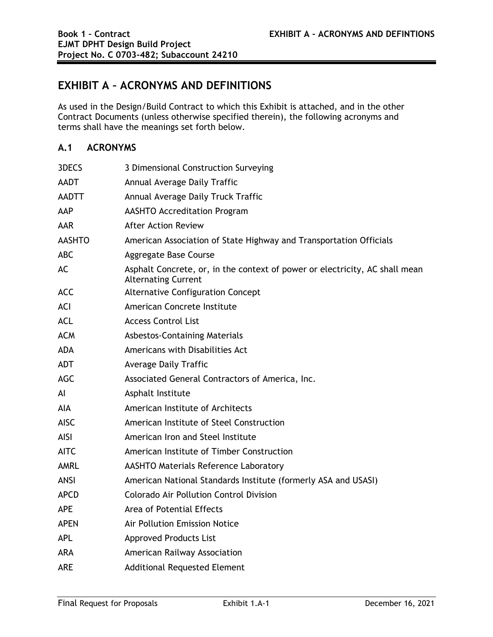# **EXHIBIT A – ACRONYMS AND DEFINITIONS**

As used in the Design/Build Contract to which this Exhibit is attached, and in the other Contract Documents (unless otherwise specified therein), the following acronyms and terms shall have the meanings set forth below.

## **A.1 ACRONYMS**

| 3DECS         | 3 Dimensional Construction Surveying                                                                      |
|---------------|-----------------------------------------------------------------------------------------------------------|
| <b>AADT</b>   | Annual Average Daily Traffic                                                                              |
| <b>AADTT</b>  | Annual Average Daily Truck Traffic                                                                        |
| AAP           | <b>AASHTO Accreditation Program</b>                                                                       |
| <b>AAR</b>    | <b>After Action Review</b>                                                                                |
| <b>AASHTO</b> | American Association of State Highway and Transportation Officials                                        |
| <b>ABC</b>    | <b>Aggregate Base Course</b>                                                                              |
| AC            | Asphalt Concrete, or, in the context of power or electricity, AC shall mean<br><b>Alternating Current</b> |
| <b>ACC</b>    | <b>Alternative Configuration Concept</b>                                                                  |
| ACI           | American Concrete Institute                                                                               |
| <b>ACL</b>    | <b>Access Control List</b>                                                                                |
| <b>ACM</b>    | <b>Asbestos-Containing Materials</b>                                                                      |
| <b>ADA</b>    | Americans with Disabilities Act                                                                           |
| <b>ADT</b>    | <b>Average Daily Traffic</b>                                                                              |
| <b>AGC</b>    | Associated General Contractors of America, Inc.                                                           |
| Al            | Asphalt Institute                                                                                         |
| AIA           | American Institute of Architects                                                                          |
| <b>AISC</b>   | American Institute of Steel Construction                                                                  |
| <b>AISI</b>   | American Iron and Steel Institute                                                                         |
| <b>AITC</b>   | American Institute of Timber Construction                                                                 |
| AMRL          | <b>AASHTO Materials Reference Laboratory</b>                                                              |
| <b>ANSI</b>   | American National Standards Institute (formerly ASA and USASI)                                            |
| <b>APCD</b>   | Colorado Air Pollution Control Division                                                                   |
| <b>APE</b>    | Area of Potential Effects                                                                                 |
| <b>APEN</b>   | Air Pollution Emission Notice                                                                             |
| <b>APL</b>    | <b>Approved Products List</b>                                                                             |
| ARA           | <b>American Railway Association</b>                                                                       |
| <b>ARE</b>    | <b>Additional Requested Element</b>                                                                       |
|               |                                                                                                           |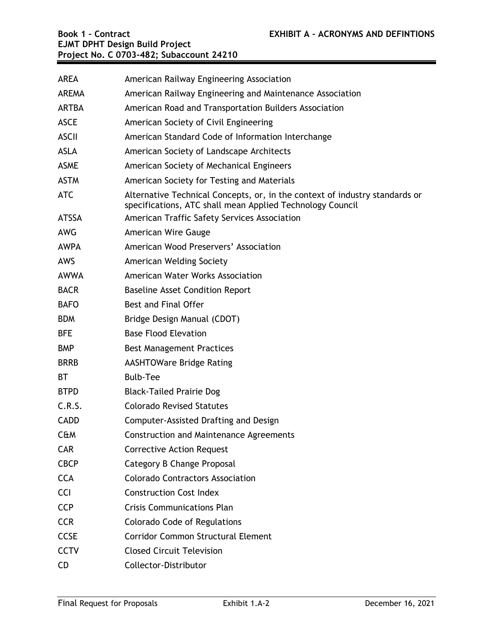| <b>AREA</b>  | American Railway Engineering Association                                                                                                 |
|--------------|------------------------------------------------------------------------------------------------------------------------------------------|
| <b>AREMA</b> | American Railway Engineering and Maintenance Association                                                                                 |
| <b>ARTBA</b> | American Road and Transportation Builders Association                                                                                    |
| <b>ASCE</b>  | American Society of Civil Engineering                                                                                                    |
| <b>ASCII</b> | American Standard Code of Information Interchange                                                                                        |
| <b>ASLA</b>  | American Society of Landscape Architects                                                                                                 |
| <b>ASME</b>  | American Society of Mechanical Engineers                                                                                                 |
| <b>ASTM</b>  | American Society for Testing and Materials                                                                                               |
| <b>ATC</b>   | Alternative Technical Concepts, or, in the context of industry standards or<br>specifications, ATC shall mean Applied Technology Council |
| <b>ATSSA</b> | American Traffic Safety Services Association                                                                                             |
| <b>AWG</b>   | American Wire Gauge                                                                                                                      |
| <b>AWPA</b>  | American Wood Preservers' Association                                                                                                    |
| AWS          | American Welding Society                                                                                                                 |
| <b>AWWA</b>  | American Water Works Association                                                                                                         |
| <b>BACR</b>  | <b>Baseline Asset Condition Report</b>                                                                                                   |
| <b>BAFO</b>  | Best and Final Offer                                                                                                                     |
| <b>BDM</b>   | Bridge Design Manual (CDOT)                                                                                                              |
| <b>BFE</b>   | <b>Base Flood Elevation</b>                                                                                                              |
| <b>BMP</b>   | <b>Best Management Practices</b>                                                                                                         |
| <b>BRRB</b>  | <b>AASHTOWare Bridge Rating</b>                                                                                                          |
| ВT           | <b>Bulb-Tee</b>                                                                                                                          |
| <b>BTPD</b>  | <b>Black-Tailed Prairie Dog</b>                                                                                                          |
| C.R.S.       | <b>Colorado Revised Statutes</b>                                                                                                         |
| <b>CADD</b>  | Computer-Assisted Drafting and Design                                                                                                    |
| C&M          | <b>Construction and Maintenance Agreements</b>                                                                                           |
| CAR          | <b>Corrective Action Request</b>                                                                                                         |
| <b>CBCP</b>  | Category B Change Proposal                                                                                                               |
| <b>CCA</b>   | <b>Colorado Contractors Association</b>                                                                                                  |
| <b>CCI</b>   | <b>Construction Cost Index</b>                                                                                                           |
| <b>CCP</b>   | <b>Crisis Communications Plan</b>                                                                                                        |
| <b>CCR</b>   | <b>Colorado Code of Regulations</b>                                                                                                      |
| <b>CCSE</b>  | <b>Corridor Common Structural Element</b>                                                                                                |
| <b>CCTV</b>  | <b>Closed Circuit Television</b>                                                                                                         |
| <b>CD</b>    | Collector-Distributor                                                                                                                    |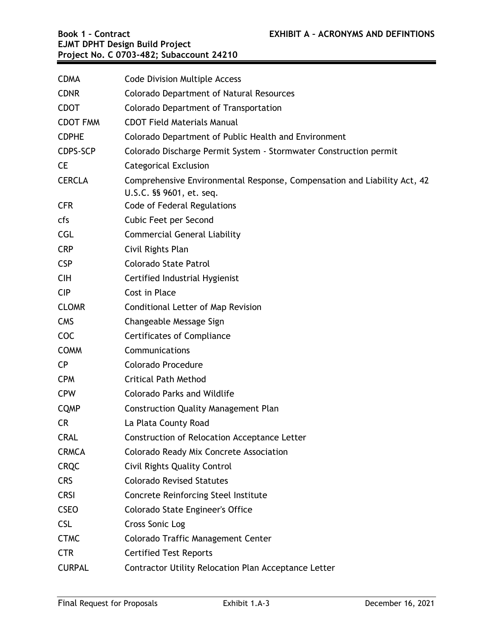| <b>CDMA</b>     | <b>Code Division Multiple Access</b>                                                                 |
|-----------------|------------------------------------------------------------------------------------------------------|
| <b>CDNR</b>     | Colorado Department of Natural Resources                                                             |
| <b>CDOT</b>     | Colorado Department of Transportation                                                                |
| <b>CDOT FMM</b> | <b>CDOT Field Materials Manual</b>                                                                   |
| <b>CDPHE</b>    | Colorado Department of Public Health and Environment                                                 |
| CDPS-SCP        | Colorado Discharge Permit System - Stormwater Construction permit                                    |
| <b>CE</b>       | <b>Categorical Exclusion</b>                                                                         |
| <b>CERCLA</b>   | Comprehensive Environmental Response, Compensation and Liability Act, 42<br>U.S.C. §§ 9601, et. seq. |
| <b>CFR</b>      | Code of Federal Regulations                                                                          |
| cfs             | Cubic Feet per Second                                                                                |
| <b>CGL</b>      | <b>Commercial General Liability</b>                                                                  |
| <b>CRP</b>      | Civil Rights Plan                                                                                    |
| <b>CSP</b>      | Colorado State Patrol                                                                                |
| <b>CIH</b>      | Certified Industrial Hygienist                                                                       |
| <b>CIP</b>      | Cost in Place                                                                                        |
| <b>CLOMR</b>    | <b>Conditional Letter of Map Revision</b>                                                            |
| <b>CMS</b>      | Changeable Message Sign                                                                              |
| <b>COC</b>      | <b>Certificates of Compliance</b>                                                                    |
| <b>COMM</b>     | Communications                                                                                       |
| <b>CP</b>       | Colorado Procedure                                                                                   |
| <b>CPM</b>      | <b>Critical Path Method</b>                                                                          |
| <b>CPW</b>      | <b>Colorado Parks and Wildlife</b>                                                                   |
| <b>CQMP</b>     | <b>Construction Quality Management Plan</b>                                                          |
| <b>CR</b>       | La Plata County Road                                                                                 |
| <b>CRAL</b>     | Construction of Relocation Acceptance Letter                                                         |
| <b>CRMCA</b>    | <b>Colorado Ready Mix Concrete Association</b>                                                       |
| <b>CRQC</b>     | <b>Civil Rights Quality Control</b>                                                                  |
| <b>CRS</b>      | <b>Colorado Revised Statutes</b>                                                                     |
| <b>CRSI</b>     | Concrete Reinforcing Steel Institute                                                                 |
| <b>CSEO</b>     | Colorado State Engineer's Office                                                                     |
| <b>CSL</b>      | Cross Sonic Log                                                                                      |
| <b>CTMC</b>     | Colorado Traffic Management Center                                                                   |
| <b>CTR</b>      | <b>Certified Test Reports</b>                                                                        |
| <b>CURPAL</b>   | Contractor Utility Relocation Plan Acceptance Letter                                                 |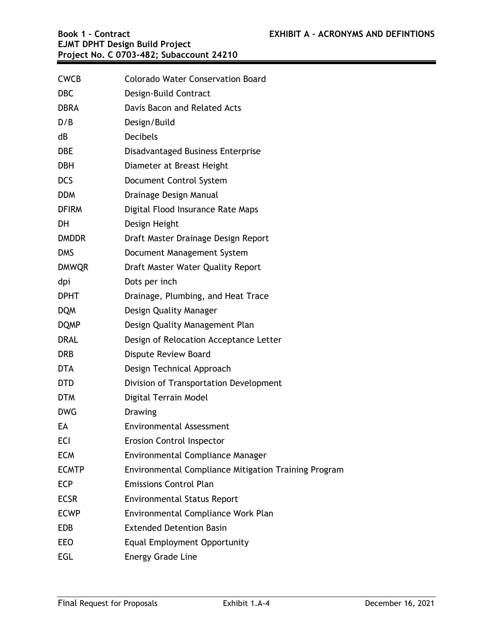| <b>CWCB</b>  | <b>Colorado Water Conservation Board</b>                    |
|--------------|-------------------------------------------------------------|
| <b>DBC</b>   | Design-Build Contract                                       |
| <b>DBRA</b>  | Davis Bacon and Related Acts                                |
| D/B          | Design/Build                                                |
| dB           | <b>Decibels</b>                                             |
| <b>DBE</b>   | Disadvantaged Business Enterprise                           |
| <b>DBH</b>   | Diameter at Breast Height                                   |
| <b>DCS</b>   | Document Control System                                     |
| <b>DDM</b>   | Drainage Design Manual                                      |
| <b>DFIRM</b> | Digital Flood Insurance Rate Maps                           |
| DH           | Design Height                                               |
| <b>DMDDR</b> | Draft Master Drainage Design Report                         |
| <b>DMS</b>   | Document Management System                                  |
| <b>DMWQR</b> | Draft Master Water Quality Report                           |
| dpi          | Dots per inch                                               |
| <b>DPHT</b>  | Drainage, Plumbing, and Heat Trace                          |
| <b>DQM</b>   | Design Quality Manager                                      |
| <b>DQMP</b>  | Design Quality Management Plan                              |
| <b>DRAL</b>  | Design of Relocation Acceptance Letter                      |
| <b>DRB</b>   | <b>Dispute Review Board</b>                                 |
| <b>DTA</b>   | Design Technical Approach                                   |
| <b>DTD</b>   | Division of Transportation Development                      |
| <b>DTM</b>   | Digital Terrain Model                                       |
| <b>DWG</b>   | <b>Drawing</b>                                              |
| EA           | <b>Environmental Assessment</b>                             |
| <b>ECI</b>   | <b>Erosion Control Inspector</b>                            |
| <b>ECM</b>   | Environmental Compliance Manager                            |
| <b>ECMTP</b> | <b>Environmental Compliance Mitigation Training Program</b> |
| <b>ECP</b>   | <b>Emissions Control Plan</b>                               |
| <b>ECSR</b>  | <b>Environmental Status Report</b>                          |
| <b>ECWP</b>  | Environmental Compliance Work Plan                          |
| <b>EDB</b>   | <b>Extended Detention Basin</b>                             |
| EEO          | <b>Equal Employment Opportunity</b>                         |
| <b>EGL</b>   | <b>Energy Grade Line</b>                                    |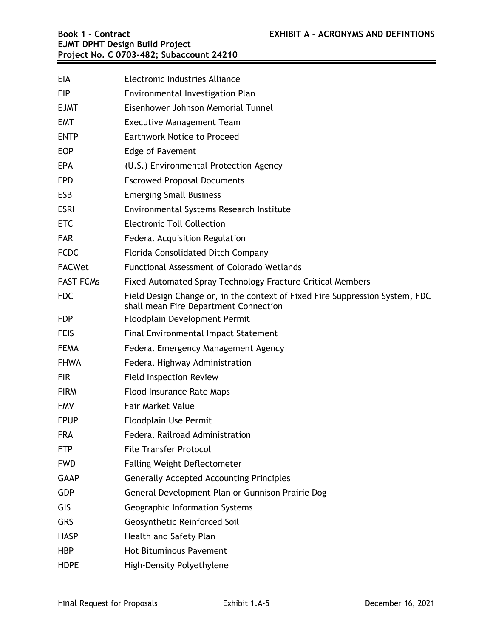| <b>EIA</b>       | Electronic Industries Alliance                                                                                        |
|------------------|-----------------------------------------------------------------------------------------------------------------------|
| <b>EIP</b>       | Environmental Investigation Plan                                                                                      |
| <b>EJMT</b>      | Eisenhower Johnson Memorial Tunnel                                                                                    |
| <b>EMT</b>       | <b>Executive Management Team</b>                                                                                      |
| <b>ENTP</b>      | <b>Earthwork Notice to Proceed</b>                                                                                    |
| <b>EOP</b>       | Edge of Pavement                                                                                                      |
| <b>EPA</b>       | (U.S.) Environmental Protection Agency                                                                                |
| <b>EPD</b>       | <b>Escrowed Proposal Documents</b>                                                                                    |
| <b>ESB</b>       | <b>Emerging Small Business</b>                                                                                        |
| <b>ESRI</b>      | Environmental Systems Research Institute                                                                              |
| <b>ETC</b>       | <b>Electronic Toll Collection</b>                                                                                     |
| <b>FAR</b>       | <b>Federal Acquisition Regulation</b>                                                                                 |
| <b>FCDC</b>      | Florida Consolidated Ditch Company                                                                                    |
| <b>FACWet</b>    | Functional Assessment of Colorado Wetlands                                                                            |
| <b>FAST FCMs</b> | Fixed Automated Spray Technology Fracture Critical Members                                                            |
| <b>FDC</b>       | Field Design Change or, in the context of Fixed Fire Suppression System, FDC<br>shall mean Fire Department Connection |
| <b>FDP</b>       | Floodplain Development Permit                                                                                         |
| <b>FEIS</b>      | Final Environmental Impact Statement                                                                                  |
| <b>FEMA</b>      | Federal Emergency Management Agency                                                                                   |
| <b>FHWA</b>      | Federal Highway Administration                                                                                        |
| <b>FIR</b>       | <b>Field Inspection Review</b>                                                                                        |
| <b>FIRM</b>      | <b>Flood Insurance Rate Maps</b>                                                                                      |
| <b>FMV</b>       | <b>Fair Market Value</b>                                                                                              |
| <b>FPUP</b>      | <b>Floodplain Use Permit</b>                                                                                          |
| FRA              | <b>Federal Railroad Administration</b>                                                                                |
| <b>FTP</b>       | <b>File Transfer Protocol</b>                                                                                         |
| <b>FWD</b>       | <b>Falling Weight Deflectometer</b>                                                                                   |
| <b>GAAP</b>      | <b>Generally Accepted Accounting Principles</b>                                                                       |
| <b>GDP</b>       | General Development Plan or Gunnison Prairie Dog                                                                      |
| GIS              | Geographic Information Systems                                                                                        |
| <b>GRS</b>       | Geosynthetic Reinforced Soil                                                                                          |
| <b>HASP</b>      | Health and Safety Plan                                                                                                |
| <b>HBP</b>       | <b>Hot Bituminous Pavement</b>                                                                                        |
| <b>HDPE</b>      | High-Density Polyethylene                                                                                             |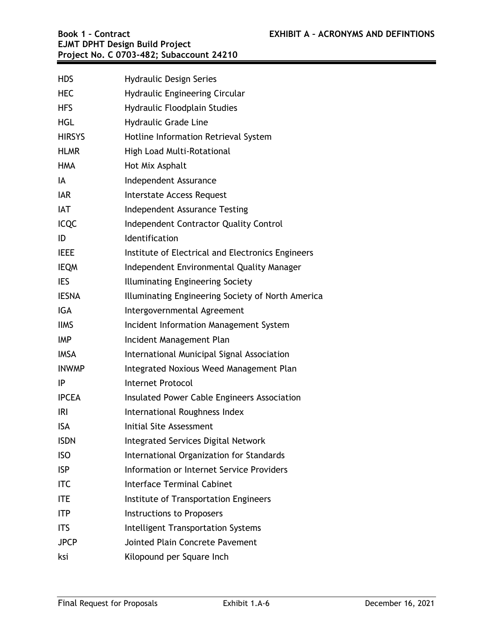| <b>HDS</b>    | <b>Hydraulic Design Series</b>                    |
|---------------|---------------------------------------------------|
| <b>HEC</b>    | <b>Hydraulic Engineering Circular</b>             |
| <b>HFS</b>    | Hydraulic Floodplain Studies                      |
| <b>HGL</b>    | <b>Hydraulic Grade Line</b>                       |
| <b>HIRSYS</b> | Hotline Information Retrieval System              |
| <b>HLMR</b>   | High Load Multi-Rotational                        |
| <b>HMA</b>    | Hot Mix Asphalt                                   |
| IA            | Independent Assurance                             |
| <b>IAR</b>    | Interstate Access Request                         |
| <b>IAT</b>    | Independent Assurance Testing                     |
| <b>ICQC</b>   | <b>Independent Contractor Quality Control</b>     |
| ID            | Identification                                    |
| <b>IEEE</b>   | Institute of Electrical and Electronics Engineers |
| <b>IEQM</b>   | Independent Environmental Quality Manager         |
| <b>IES</b>    | Illuminating Engineering Society                  |
| <b>IESNA</b>  | Illuminating Engineering Society of North America |
| <b>IGA</b>    | Intergovernmental Agreement                       |
| <b>IIMS</b>   | Incident Information Management System            |
| <b>IMP</b>    | Incident Management Plan                          |
| <b>IMSA</b>   | International Municipal Signal Association        |
| <b>INWMP</b>  | Integrated Noxious Weed Management Plan           |
| IP            | <b>Internet Protocol</b>                          |
| <b>IPCEA</b>  | Insulated Power Cable Engineers Association       |
| <b>IRI</b>    | International Roughness Index                     |
| <b>ISA</b>    | Initial Site Assessment                           |
| <b>ISDN</b>   | Integrated Services Digital Network               |
| <b>ISO</b>    | International Organization for Standards          |
| <b>ISP</b>    | Information or Internet Service Providers         |
| <b>ITC</b>    | <b>Interface Terminal Cabinet</b>                 |
| ITE           | Institute of Transportation Engineers             |
| <b>ITP</b>    | <b>Instructions to Proposers</b>                  |
| <b>ITS</b>    | Intelligent Transportation Systems                |
| <b>JPCP</b>   | Jointed Plain Concrete Pavement                   |
| ksi           | Kilopound per Square Inch                         |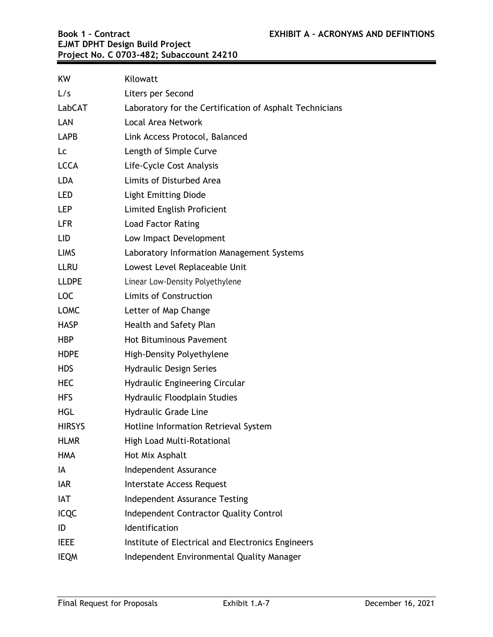| <b>KW</b>     | Kilowatt                                                |
|---------------|---------------------------------------------------------|
| L/s           | Liters per Second                                       |
| LabCAT        | Laboratory for the Certification of Asphalt Technicians |
| LAN           | Local Area Network                                      |
| LAPB          | Link Access Protocol, Balanced                          |
| Lc            | Length of Simple Curve                                  |
| <b>LCCA</b>   | Life-Cycle Cost Analysis                                |
| <b>LDA</b>    | Limits of Disturbed Area                                |
| LED           | <b>Light Emitting Diode</b>                             |
| LEP           | Limited English Proficient                              |
| <b>LFR</b>    | <b>Load Factor Rating</b>                               |
| LID           | Low Impact Development                                  |
| <b>LIMS</b>   | Laboratory Information Management Systems               |
| <b>LLRU</b>   | Lowest Level Replaceable Unit                           |
| <b>LLDPE</b>  | Linear Low-Density Polyethylene                         |
| <b>LOC</b>    | <b>Limits of Construction</b>                           |
| <b>LOMC</b>   | Letter of Map Change                                    |
| <b>HASP</b>   | Health and Safety Plan                                  |
| <b>HBP</b>    | <b>Hot Bituminous Pavement</b>                          |
| <b>HDPE</b>   | High-Density Polyethylene                               |
| <b>HDS</b>    | <b>Hydraulic Design Series</b>                          |
| <b>HEC</b>    | Hydraulic Engineering Circular                          |
| <b>HFS</b>    | Hydraulic Floodplain Studies                            |
| <b>HGL</b>    | <b>Hydraulic Grade Line</b>                             |
| <b>HIRSYS</b> | Hotline Information Retrieval System                    |
| <b>HLMR</b>   | <b>High Load Multi-Rotational</b>                       |
| <b>HMA</b>    | Hot Mix Asphalt                                         |
| IA            | Independent Assurance                                   |
| <b>IAR</b>    | Interstate Access Request                               |
| IAT           | Independent Assurance Testing                           |
| <b>ICQC</b>   | <b>Independent Contractor Quality Control</b>           |
| ID            | <b>Identification</b>                                   |
| <b>IEEE</b>   | Institute of Electrical and Electronics Engineers       |
| <b>IEQM</b>   | Independent Environmental Quality Manager               |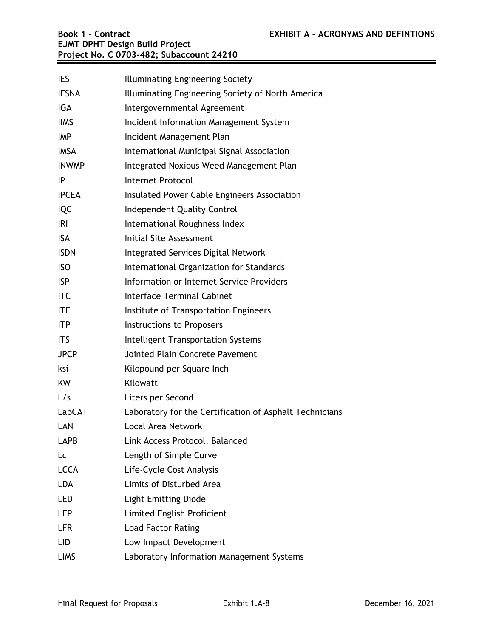| <b>IES</b>   | Illuminating Engineering Society                        |
|--------------|---------------------------------------------------------|
| <b>IESNA</b> | Illuminating Engineering Society of North America       |
| IGA          | Intergovernmental Agreement                             |
| <b>IIMS</b>  | Incident Information Management System                  |
| <b>IMP</b>   | Incident Management Plan                                |
| <b>IMSA</b>  | International Municipal Signal Association              |
| <b>INWMP</b> | Integrated Noxious Weed Management Plan                 |
| ΙP           | <b>Internet Protocol</b>                                |
| <b>IPCEA</b> | Insulated Power Cable Engineers Association             |
| <b>IQC</b>   | Independent Quality Control                             |
| <b>IRI</b>   | International Roughness Index                           |
| <b>ISA</b>   | Initial Site Assessment                                 |
| <b>ISDN</b>  | Integrated Services Digital Network                     |
| <b>ISO</b>   | International Organization for Standards                |
| <b>ISP</b>   | Information or Internet Service Providers               |
| <b>ITC</b>   | <b>Interface Terminal Cabinet</b>                       |
| <b>ITE</b>   | Institute of Transportation Engineers                   |
| <b>ITP</b>   | Instructions to Proposers                               |
| <b>ITS</b>   | Intelligent Transportation Systems                      |
| <b>JPCP</b>  | Jointed Plain Concrete Pavement                         |
| ksi          | Kilopound per Square Inch                               |
| KW           | Kilowatt                                                |
| L/s          | Liters per Second                                       |
| LabCAT       | Laboratory for the Certification of Asphalt Technicians |
| LAN          | Local Area Network                                      |
| <b>LAPB</b>  | Link Access Protocol, Balanced                          |
| Lc           | Length of Simple Curve                                  |
| <b>LCCA</b>  | Life-Cycle Cost Analysis                                |
| <b>LDA</b>   | Limits of Disturbed Area                                |
| <b>LED</b>   | <b>Light Emitting Diode</b>                             |
| LEP          | Limited English Proficient                              |
| <b>LFR</b>   | <b>Load Factor Rating</b>                               |
| LID          | Low Impact Development                                  |
| <b>LIMS</b>  | Laboratory Information Management Systems               |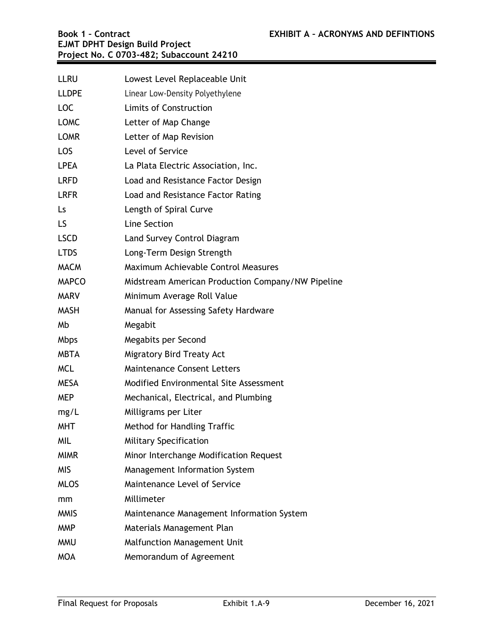| <b>LLRU</b>  | Lowest Level Replaceable Unit                     |
|--------------|---------------------------------------------------|
| <b>LLDPE</b> | Linear Low-Density Polyethylene                   |
| <b>LOC</b>   | <b>Limits of Construction</b>                     |
| <b>LOMC</b>  | Letter of Map Change                              |
| <b>LOMR</b>  | Letter of Map Revision                            |
| LOS          | Level of Service                                  |
| <b>LPEA</b>  | La Plata Electric Association, Inc.               |
| <b>LRFD</b>  | Load and Resistance Factor Design                 |
| <b>LRFR</b>  | Load and Resistance Factor Rating                 |
| Ls           | Length of Spiral Curve                            |
| LS.          | Line Section                                      |
| <b>LSCD</b>  | Land Survey Control Diagram                       |
| <b>LTDS</b>  | Long-Term Design Strength                         |
| <b>MACM</b>  | Maximum Achievable Control Measures               |
| <b>MAPCO</b> | Midstream American Production Company/NW Pipeline |
| <b>MARV</b>  | Minimum Average Roll Value                        |
| <b>MASH</b>  | Manual for Assessing Safety Hardware              |
| Mb           | Megabit                                           |
| <b>Mbps</b>  | Megabits per Second                               |
| <b>MBTA</b>  | <b>Migratory Bird Treaty Act</b>                  |
| <b>MCL</b>   | <b>Maintenance Consent Letters</b>                |
| <b>MESA</b>  | Modified Environmental Site Assessment            |
| <b>MEP</b>   | Mechanical, Electrical, and Plumbing              |
| mg/L         | Milligrams per Liter                              |
| MHT          | Method for Handling Traffic                       |
| MIL          | <b>Military Specification</b>                     |
| <b>MIMR</b>  | Minor Interchange Modification Request            |
| MIS          | Management Information System                     |
| <b>MLOS</b>  | Maintenance Level of Service                      |
| mm           | Millimeter                                        |
| <b>MMIS</b>  | Maintenance Management Information System         |
| <b>MMP</b>   | Materials Management Plan                         |
| <b>MMU</b>   | <b>Malfunction Management Unit</b>                |
| <b>MOA</b>   | Memorandum of Agreement                           |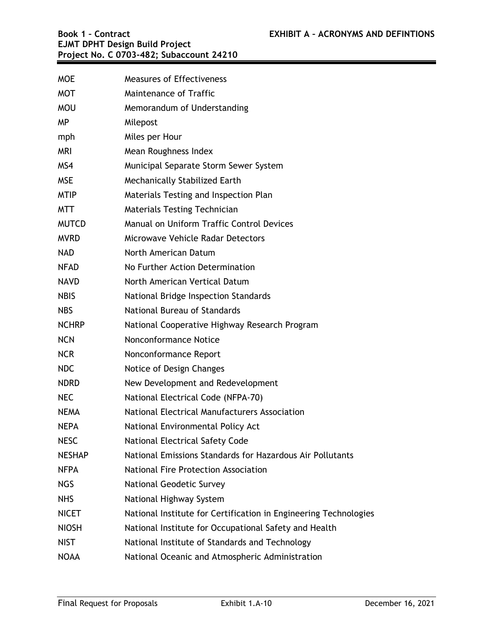| <b>MOE</b>    | <b>Measures of Effectiveness</b>                                 |
|---------------|------------------------------------------------------------------|
| <b>MOT</b>    | Maintenance of Traffic                                           |
| <b>MOU</b>    | Memorandum of Understanding                                      |
| <b>MP</b>     | Milepost                                                         |
| mph           | Miles per Hour                                                   |
| <b>MRI</b>    | Mean Roughness Index                                             |
| MS4           | Municipal Separate Storm Sewer System                            |
| <b>MSE</b>    | Mechanically Stabilized Earth                                    |
| <b>MTIP</b>   | Materials Testing and Inspection Plan                            |
| <b>MTT</b>    | <b>Materials Testing Technician</b>                              |
| <b>MUTCD</b>  | Manual on Uniform Traffic Control Devices                        |
| <b>MVRD</b>   | Microwave Vehicle Radar Detectors                                |
| <b>NAD</b>    | North American Datum                                             |
| <b>NFAD</b>   | No Further Action Determination                                  |
| <b>NAVD</b>   | North American Vertical Datum                                    |
| <b>NBIS</b>   | National Bridge Inspection Standards                             |
| <b>NBS</b>    | National Bureau of Standards                                     |
| <b>NCHRP</b>  | National Cooperative Highway Research Program                    |
| <b>NCN</b>    | Nonconformance Notice                                            |
| <b>NCR</b>    | Nonconformance Report                                            |
| <b>NDC</b>    | Notice of Design Changes                                         |
| <b>NDRD</b>   | New Development and Redevelopment                                |
| <b>NEC</b>    | National Electrical Code (NFPA-70)                               |
| <b>NEMA</b>   | National Electrical Manufacturers Association                    |
| <b>NEPA</b>   | National Environmental Policy Act                                |
| <b>NESC</b>   | <b>National Electrical Safety Code</b>                           |
| <b>NESHAP</b> | National Emissions Standards for Hazardous Air Pollutants        |
| <b>NFPA</b>   | National Fire Protection Association                             |
| <b>NGS</b>    | <b>National Geodetic Survey</b>                                  |
| <b>NHS</b>    | National Highway System                                          |
| <b>NICET</b>  | National Institute for Certification in Engineering Technologies |
| <b>NIOSH</b>  | National Institute for Occupational Safety and Health            |
| <b>NIST</b>   | National Institute of Standards and Technology                   |
| <b>NOAA</b>   | National Oceanic and Atmospheric Administration                  |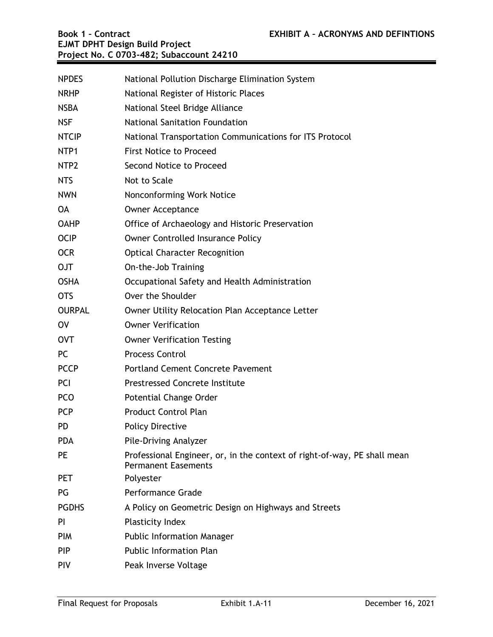| <b>NPDES</b>     | National Pollution Discharge Elimination System                                                        |
|------------------|--------------------------------------------------------------------------------------------------------|
| <b>NRHP</b>      | National Register of Historic Places                                                                   |
| <b>NSBA</b>      | National Steel Bridge Alliance                                                                         |
| <b>NSF</b>       | <b>National Sanitation Foundation</b>                                                                  |
| <b>NTCIP</b>     | National Transportation Communications for ITS Protocol                                                |
| NTP1             | <b>First Notice to Proceed</b>                                                                         |
| NTP <sub>2</sub> | Second Notice to Proceed                                                                               |
| <b>NTS</b>       | Not to Scale                                                                                           |
| <b>NWN</b>       | Nonconforming Work Notice                                                                              |
| <b>OA</b>        | <b>Owner Acceptance</b>                                                                                |
| <b>OAHP</b>      | Office of Archaeology and Historic Preservation                                                        |
| <b>OCIP</b>      | <b>Owner Controlled Insurance Policy</b>                                                               |
| <b>OCR</b>       | <b>Optical Character Recognition</b>                                                                   |
| <b>OJT</b>       | On-the-Job Training                                                                                    |
| <b>OSHA</b>      | Occupational Safety and Health Administration                                                          |
| <b>OTS</b>       | Over the Shoulder                                                                                      |
| <b>OURPAL</b>    | Owner Utility Relocation Plan Acceptance Letter                                                        |
| <b>OV</b>        | <b>Owner Verification</b>                                                                              |
| <b>OVT</b>       | <b>Owner Verification Testing</b>                                                                      |
| PC               | <b>Process Control</b>                                                                                 |
| <b>PCCP</b>      | <b>Portland Cement Concrete Pavement</b>                                                               |
| <b>PCI</b>       | <b>Prestressed Concrete Institute</b>                                                                  |
| <b>PCO</b>       | <b>Potential Change Order</b>                                                                          |
| <b>PCP</b>       | <b>Product Control Plan</b>                                                                            |
| <b>PD</b>        | <b>Policy Directive</b>                                                                                |
| <b>PDA</b>       | <b>Pile-Driving Analyzer</b>                                                                           |
| <b>PE</b>        | Professional Engineer, or, in the context of right-of-way, PE shall mean<br><b>Permanent Easements</b> |
| <b>PET</b>       | Polyester                                                                                              |
| PG               | <b>Performance Grade</b>                                                                               |
| <b>PGDHS</b>     | A Policy on Geometric Design on Highways and Streets                                                   |
| PI.              | <b>Plasticity Index</b>                                                                                |
| <b>PIM</b>       | <b>Public Information Manager</b>                                                                      |
| <b>PIP</b>       | <b>Public Information Plan</b>                                                                         |
| <b>PIV</b>       | Peak Inverse Voltage                                                                                   |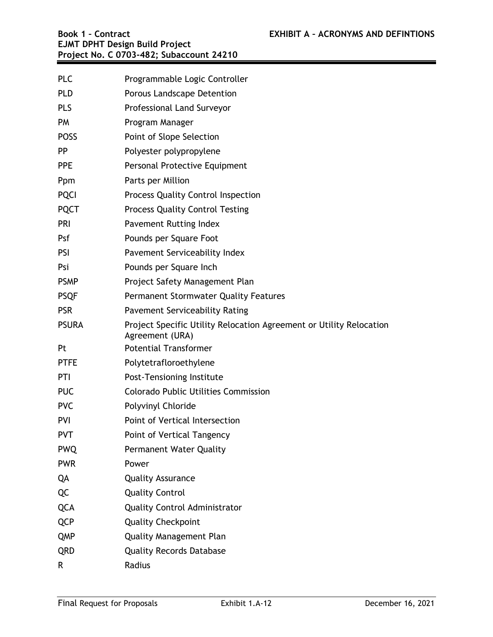| <b>PLC</b>   | Programmable Logic Controller                                                          |
|--------------|----------------------------------------------------------------------------------------|
| <b>PLD</b>   | Porous Landscape Detention                                                             |
| <b>PLS</b>   | Professional Land Surveyor                                                             |
| <b>PM</b>    | Program Manager                                                                        |
| <b>POSS</b>  | Point of Slope Selection                                                               |
| <b>PP</b>    | Polyester polypropylene                                                                |
| <b>PPE</b>   | Personal Protective Equipment                                                          |
| Ppm          | Parts per Million                                                                      |
| <b>PQCI</b>  | Process Quality Control Inspection                                                     |
| <b>PQCT</b>  | <b>Process Quality Control Testing</b>                                                 |
| PRI          | Pavement Rutting Index                                                                 |
| Psf          | Pounds per Square Foot                                                                 |
| <b>PSI</b>   | Pavement Serviceability Index                                                          |
| Psi          | Pounds per Square Inch                                                                 |
| <b>PSMP</b>  | Project Safety Management Plan                                                         |
| <b>PSQF</b>  | Permanent Stormwater Quality Features                                                  |
| <b>PSR</b>   | <b>Pavement Serviceability Rating</b>                                                  |
| <b>PSURA</b> | Project Specific Utility Relocation Agreement or Utility Relocation<br>Agreement (URA) |
| Pt           | <b>Potential Transformer</b>                                                           |
| <b>PTFE</b>  | Polytetrafloroethylene                                                                 |
| PTI          | Post-Tensioning Institute                                                              |
| <b>PUC</b>   | <b>Colorado Public Utilities Commission</b>                                            |
| <b>PVC</b>   | Polyvinyl Chloride                                                                     |
| <b>PVI</b>   | Point of Vertical Intersection                                                         |
| <b>PVT</b>   | Point of Vertical Tangency                                                             |
| <b>PWQ</b>   | Permanent Water Quality                                                                |
| <b>PWR</b>   | Power                                                                                  |
| QA           | <b>Quality Assurance</b>                                                               |
| QC           | <b>Quality Control</b>                                                                 |
| <b>QCA</b>   | <b>Quality Control Administrator</b>                                                   |
| <b>QCP</b>   | <b>Quality Checkpoint</b>                                                              |
| <b>QMP</b>   | <b>Quality Management Plan</b>                                                         |
| <b>QRD</b>   | <b>Quality Records Database</b>                                                        |
| R            | Radius                                                                                 |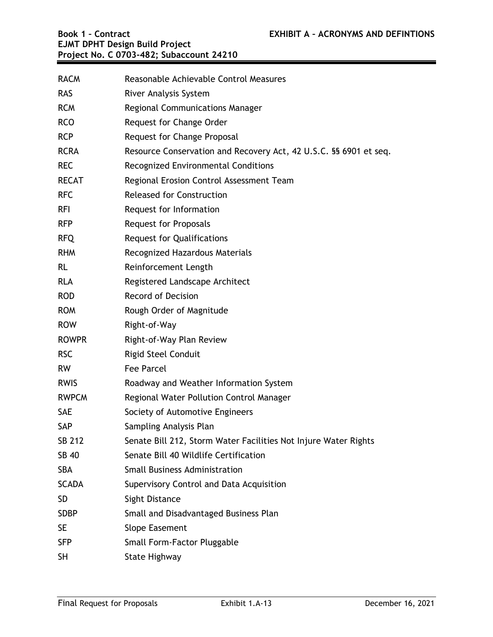| <b>RACM</b>  | Reasonable Achievable Control Measures                            |
|--------------|-------------------------------------------------------------------|
| <b>RAS</b>   | River Analysis System                                             |
| <b>RCM</b>   | <b>Regional Communications Manager</b>                            |
| <b>RCO</b>   | Request for Change Order                                          |
| <b>RCP</b>   | Request for Change Proposal                                       |
| <b>RCRA</b>  | Resource Conservation and Recovery Act, 42 U.S.C. §§ 6901 et seq. |
| <b>REC</b>   | Recognized Environmental Conditions                               |
| <b>RECAT</b> | Regional Erosion Control Assessment Team                          |
| <b>RFC</b>   | <b>Released for Construction</b>                                  |
| <b>RFI</b>   | Request for Information                                           |
| <b>RFP</b>   | <b>Request for Proposals</b>                                      |
| <b>RFQ</b>   | <b>Request for Qualifications</b>                                 |
| <b>RHM</b>   | Recognized Hazardous Materials                                    |
| <b>RL</b>    | Reinforcement Length                                              |
| <b>RLA</b>   | Registered Landscape Architect                                    |
| <b>ROD</b>   | <b>Record of Decision</b>                                         |
| <b>ROM</b>   | Rough Order of Magnitude                                          |
| <b>ROW</b>   | Right-of-Way                                                      |
| <b>ROWPR</b> | Right-of-Way Plan Review                                          |
| <b>RSC</b>   | <b>Rigid Steel Conduit</b>                                        |
| <b>RW</b>    | <b>Fee Parcel</b>                                                 |
| <b>RWIS</b>  | Roadway and Weather Information System                            |
| <b>RWPCM</b> | Regional Water Pollution Control Manager                          |
| <b>SAE</b>   | Society of Automotive Engineers                                   |
| SAP          | Sampling Analysis Plan                                            |
| SB 212       | Senate Bill 212, Storm Water Facilities Not Injure Water Rights   |
| SB 40        | Senate Bill 40 Wildlife Certification                             |
| <b>SBA</b>   | <b>Small Business Administration</b>                              |
| <b>SCADA</b> | Supervisory Control and Data Acquisition                          |
| <b>SD</b>    | Sight Distance                                                    |
| <b>SDBP</b>  | Small and Disadvantaged Business Plan                             |
| <b>SE</b>    | Slope Easement                                                    |
| <b>SFP</b>   | Small Form-Factor Pluggable                                       |
| <b>SH</b>    | <b>State Highway</b>                                              |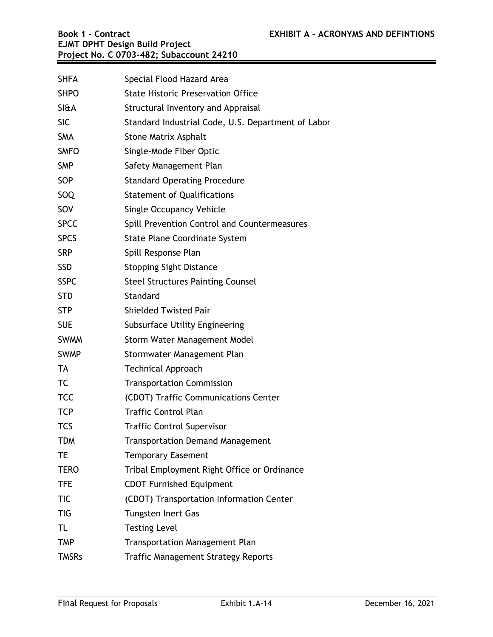| <b>SHFA</b>     | Special Flood Hazard Area                          |
|-----------------|----------------------------------------------------|
| <b>SHPO</b>     | <b>State Historic Preservation Office</b>          |
| <b>SI&amp;A</b> | Structural Inventory and Appraisal                 |
| <b>SIC</b>      | Standard Industrial Code, U.S. Department of Labor |
| <b>SMA</b>      | <b>Stone Matrix Asphalt</b>                        |
| <b>SMFO</b>     | Single-Mode Fiber Optic                            |
| <b>SMP</b>      | Safety Management Plan                             |
| SOP             | <b>Standard Operating Procedure</b>                |
| SOQ             | <b>Statement of Qualifications</b>                 |
| SOV             | <b>Single Occupancy Vehicle</b>                    |
| <b>SPCC</b>     | Spill Prevention Control and Countermeasures       |
| <b>SPCS</b>     | <b>State Plane Coordinate System</b>               |
| <b>SRP</b>      | Spill Response Plan                                |
| <b>SSD</b>      | <b>Stopping Sight Distance</b>                     |
| <b>SSPC</b>     | <b>Steel Structures Painting Counsel</b>           |
| <b>STD</b>      | Standard                                           |
| <b>STP</b>      | <b>Shielded Twisted Pair</b>                       |
| <b>SUE</b>      | Subsurface Utility Engineering                     |
| <b>SWMM</b>     | Storm Water Management Model                       |
| <b>SWMP</b>     | Stormwater Management Plan                         |
| <b>TA</b>       | <b>Technical Approach</b>                          |
| TC              | <b>Transportation Commission</b>                   |
| <b>TCC</b>      | (CDOT) Traffic Communications Center               |
| <b>TCP</b>      | <b>Traffic Control Plan</b>                        |
| <b>TCS</b>      | <b>Traffic Control Supervisor</b>                  |
| <b>TDM</b>      | <b>Transportation Demand Management</b>            |
| TE              | <b>Temporary Easement</b>                          |
| <b>TERO</b>     | Tribal Employment Right Office or Ordinance        |
| <b>TFE</b>      | <b>CDOT Furnished Equipment</b>                    |
| <b>TIC</b>      | (CDOT) Transportation Information Center           |
| <b>TIG</b>      | <b>Tungsten Inert Gas</b>                          |
| TL              | <b>Testing Level</b>                               |
| <b>TMP</b>      | <b>Transportation Management Plan</b>              |
| <b>TMSRs</b>    | <b>Traffic Management Strategy Reports</b>         |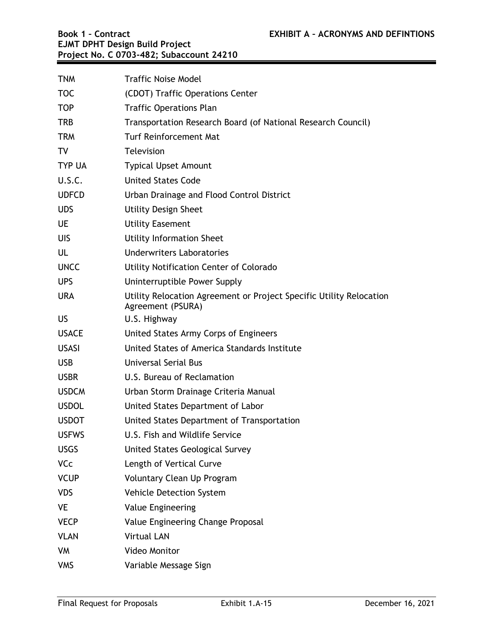| <b>TNM</b>    | <b>Traffic Noise Model</b>                                                               |
|---------------|------------------------------------------------------------------------------------------|
| <b>TOC</b>    | (CDOT) Traffic Operations Center                                                         |
| <b>TOP</b>    | <b>Traffic Operations Plan</b>                                                           |
| <b>TRB</b>    | Transportation Research Board (of National Research Council)                             |
| <b>TRM</b>    | <b>Turf Reinforcement Mat</b>                                                            |
| TV            | <b>Television</b>                                                                        |
| <b>TYP UA</b> | <b>Typical Upset Amount</b>                                                              |
| U.S.C.        | <b>United States Code</b>                                                                |
| <b>UDFCD</b>  | Urban Drainage and Flood Control District                                                |
| <b>UDS</b>    | <b>Utility Design Sheet</b>                                                              |
| <b>UE</b>     | <b>Utility Easement</b>                                                                  |
| UIS           | <b>Utility Information Sheet</b>                                                         |
| UL            | <b>Underwriters Laboratories</b>                                                         |
| <b>UNCC</b>   | Utility Notification Center of Colorado                                                  |
| <b>UPS</b>    | Uninterruptible Power Supply                                                             |
| <b>URA</b>    | Utility Relocation Agreement or Project Specific Utility Relocation<br>Agreement (PSURA) |
| <b>US</b>     | U.S. Highway                                                                             |
| <b>USACE</b>  | United States Army Corps of Engineers                                                    |
| <b>USASI</b>  | United States of America Standards Institute                                             |
| USB           | <b>Universal Serial Bus</b>                                                              |
| <b>USBR</b>   | U.S. Bureau of Reclamation                                                               |
| <b>USDCM</b>  | Urban Storm Drainage Criteria Manual                                                     |
| <b>USDOL</b>  | United States Department of Labor                                                        |
| <b>USDOT</b>  | United States Department of Transportation                                               |
| <b>USFWS</b>  | U.S. Fish and Wildlife Service                                                           |
| <b>USGS</b>   | United States Geological Survey                                                          |
| <b>VCc</b>    | Length of Vertical Curve                                                                 |
| <b>VCUP</b>   | Voluntary Clean Up Program                                                               |
| <b>VDS</b>    | Vehicle Detection System                                                                 |
| <b>VE</b>     | Value Engineering                                                                        |
| <b>VECP</b>   | Value Engineering Change Proposal                                                        |
| <b>VLAN</b>   | <b>Virtual LAN</b>                                                                       |
| VM            | Video Monitor                                                                            |
| <b>VMS</b>    | Variable Message Sign                                                                    |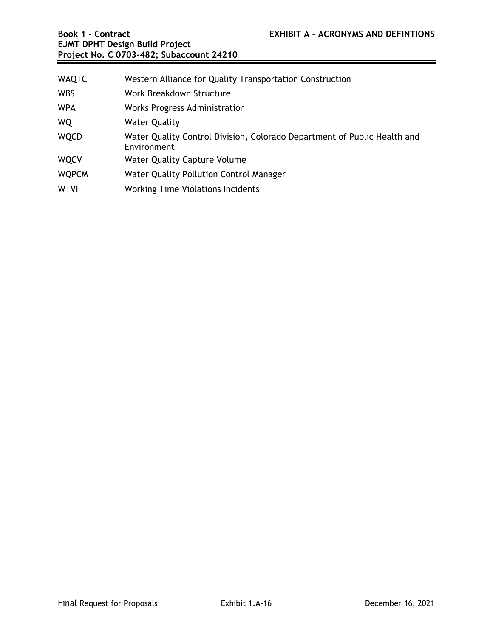| <b>WAQTC</b> | Western Alliance for Quality Transportation Construction                                |
|--------------|-----------------------------------------------------------------------------------------|
| <b>WBS</b>   | Work Breakdown Structure                                                                |
| <b>WPA</b>   | Works Progress Administration                                                           |
| <b>WQ</b>    | <b>Water Quality</b>                                                                    |
| <b>WQCD</b>  | Water Quality Control Division, Colorado Department of Public Health and<br>Environment |
| <b>WQCV</b>  | <b>Water Quality Capture Volume</b>                                                     |
| <b>WQPCM</b> | Water Quality Pollution Control Manager                                                 |
| <b>WTVI</b>  | <b>Working Time Violations Incidents</b>                                                |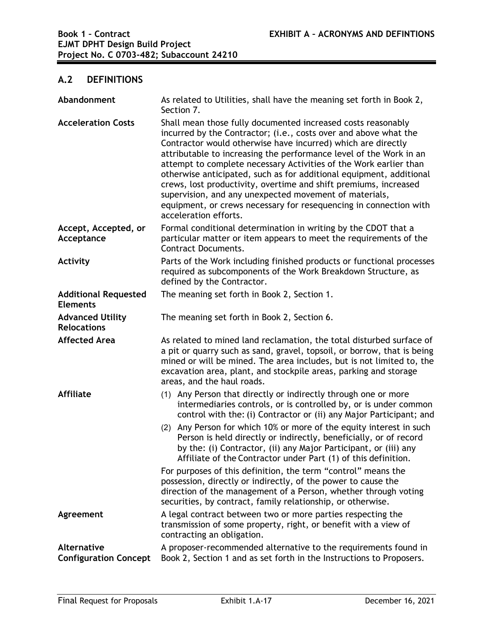# **A.2 DEFINITIONS**

| Abandonment                                        | As related to Utilities, shall have the meaning set forth in Book 2,<br>Section 7.                                                                                                                                                                                                                                                                                                                                                                                                                                                                                                                                                             |
|----------------------------------------------------|------------------------------------------------------------------------------------------------------------------------------------------------------------------------------------------------------------------------------------------------------------------------------------------------------------------------------------------------------------------------------------------------------------------------------------------------------------------------------------------------------------------------------------------------------------------------------------------------------------------------------------------------|
| <b>Acceleration Costs</b>                          | Shall mean those fully documented increased costs reasonably<br>incurred by the Contractor; (i.e., costs over and above what the<br>Contractor would otherwise have incurred) which are directly<br>attributable to increasing the performance level of the Work in an<br>attempt to complete necessary Activities of the Work earlier than<br>otherwise anticipated, such as for additional equipment, additional<br>crews, lost productivity, overtime and shift premiums, increased<br>supervision, and any unexpected movement of materials,<br>equipment, or crews necessary for resequencing in connection with<br>acceleration efforts. |
| Accept, Accepted, or<br>Acceptance                 | Formal conditional determination in writing by the CDOT that a<br>particular matter or item appears to meet the requirements of the<br><b>Contract Documents.</b>                                                                                                                                                                                                                                                                                                                                                                                                                                                                              |
| Activity                                           | Parts of the Work including finished products or functional processes<br>required as subcomponents of the Work Breakdown Structure, as<br>defined by the Contractor.                                                                                                                                                                                                                                                                                                                                                                                                                                                                           |
| <b>Additional Requested</b><br><b>Elements</b>     | The meaning set forth in Book 2, Section 1.                                                                                                                                                                                                                                                                                                                                                                                                                                                                                                                                                                                                    |
| <b>Advanced Utility</b><br><b>Relocations</b>      | The meaning set forth in Book 2, Section 6.                                                                                                                                                                                                                                                                                                                                                                                                                                                                                                                                                                                                    |
| <b>Affected Area</b>                               | As related to mined land reclamation, the total disturbed surface of<br>a pit or quarry such as sand, gravel, topsoil, or borrow, that is being<br>mined or will be mined. The area includes, but is not limited to, the<br>excavation area, plant, and stockpile areas, parking and storage<br>areas, and the haul roads.                                                                                                                                                                                                                                                                                                                     |
| <b>Affiliate</b>                                   | (1) Any Person that directly or indirectly through one or more<br>intermediaries controls, or is controlled by, or is under common<br>control with the: (i) Contractor or (ii) any Major Participant; and                                                                                                                                                                                                                                                                                                                                                                                                                                      |
|                                                    | Any Person for which 10% or more of the equity interest in such<br>(2)<br>Person is held directly or indirectly, beneficially, or of record<br>by the: (i) Contractor, (ii) any Major Participant, or (iii) any<br>Affiliate of the Contractor under Part (1) of this definition.                                                                                                                                                                                                                                                                                                                                                              |
|                                                    | For purposes of this definition, the term "control" means the<br>possession, directly or indirectly, of the power to cause the<br>direction of the management of a Person, whether through voting<br>securities, by contract, family relationship, or otherwise.                                                                                                                                                                                                                                                                                                                                                                               |
| Agreement                                          | A legal contract between two or more parties respecting the<br>transmission of some property, right, or benefit with a view of<br>contracting an obligation.                                                                                                                                                                                                                                                                                                                                                                                                                                                                                   |
| <b>Alternative</b><br><b>Configuration Concept</b> | A proposer-recommended alternative to the requirements found in<br>Book 2, Section 1 and as set forth in the Instructions to Proposers.                                                                                                                                                                                                                                                                                                                                                                                                                                                                                                        |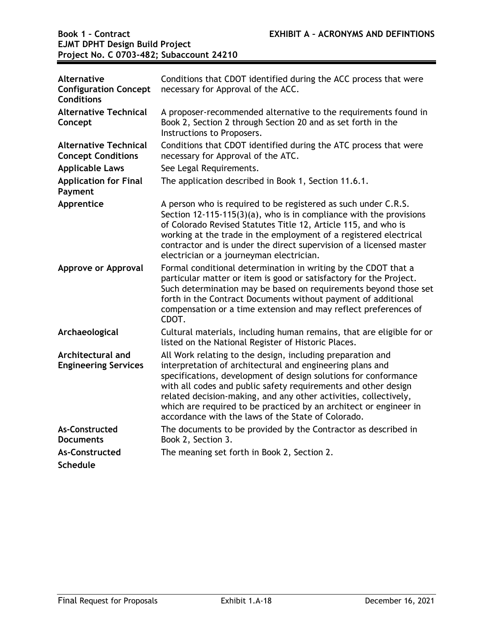| Alternative<br><b>Configuration Concept</b><br><b>Conditions</b> | Conditions that CDOT identified during the ACC process that were<br>necessary for Approval of the ACC.                                                                                                                                                                                                                                                                                                                                                      |
|------------------------------------------------------------------|-------------------------------------------------------------------------------------------------------------------------------------------------------------------------------------------------------------------------------------------------------------------------------------------------------------------------------------------------------------------------------------------------------------------------------------------------------------|
| <b>Alternative Technical</b><br>Concept                          | A proposer-recommended alternative to the requirements found in<br>Book 2, Section 2 through Section 20 and as set forth in the<br>Instructions to Proposers.                                                                                                                                                                                                                                                                                               |
| <b>Alternative Technical</b><br><b>Concept Conditions</b>        | Conditions that CDOT identified during the ATC process that were<br>necessary for Approval of the ATC.                                                                                                                                                                                                                                                                                                                                                      |
| <b>Applicable Laws</b>                                           | See Legal Requirements.                                                                                                                                                                                                                                                                                                                                                                                                                                     |
| <b>Application for Final</b><br>Payment                          | The application described in Book 1, Section 11.6.1.                                                                                                                                                                                                                                                                                                                                                                                                        |
| Apprentice                                                       | A person who is required to be registered as such under C.R.S.<br>Section $12-115-115(3)(a)$ , who is in compliance with the provisions<br>of Colorado Revised Statutes Title 12, Article 115, and who is<br>working at the trade in the employment of a registered electrical<br>contractor and is under the direct supervision of a licensed master<br>electrician or a journeyman electrician.                                                           |
| Approve or Approval                                              | Formal conditional determination in writing by the CDOT that a<br>particular matter or item is good or satisfactory for the Project.<br>Such determination may be based on requirements beyond those set<br>forth in the Contract Documents without payment of additional<br>compensation or a time extension and may reflect preferences of<br>CDOT.                                                                                                       |
| Archaeological                                                   | Cultural materials, including human remains, that are eligible for or<br>listed on the National Register of Historic Places.                                                                                                                                                                                                                                                                                                                                |
| Architectural and<br><b>Engineering Services</b>                 | All Work relating to the design, including preparation and<br>interpretation of architectural and engineering plans and<br>specifications, development of design solutions for conformance<br>with all codes and public safety requirements and other design<br>related decision-making, and any other activities, collectively,<br>which are required to be practiced by an architect or engineer in<br>accordance with the laws of the State of Colorado. |
| As-Constructed<br><b>Documents</b>                               | The documents to be provided by the Contractor as described in<br>Book 2, Section 3.                                                                                                                                                                                                                                                                                                                                                                        |
| As-Constructed                                                   | The meaning set forth in Book 2, Section 2.                                                                                                                                                                                                                                                                                                                                                                                                                 |
| <b>Schedule</b>                                                  |                                                                                                                                                                                                                                                                                                                                                                                                                                                             |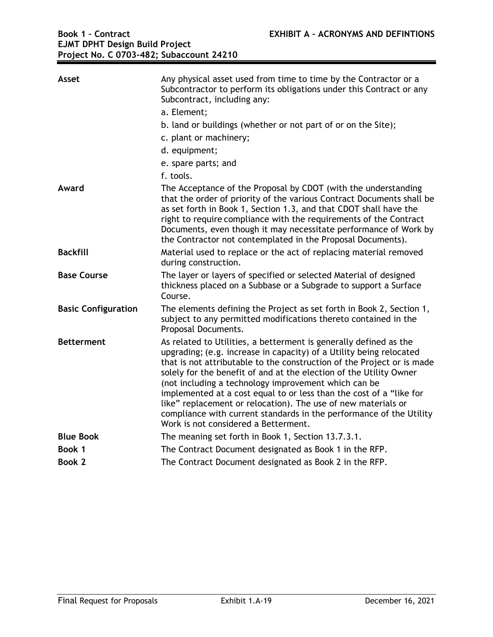| Asset                      | Any physical asset used from time to time by the Contractor or a<br>Subcontractor to perform its obligations under this Contract or any<br>Subcontract, including any:                                                                                                                                                                                                                                                                                                                                                                                                                                  |
|----------------------------|---------------------------------------------------------------------------------------------------------------------------------------------------------------------------------------------------------------------------------------------------------------------------------------------------------------------------------------------------------------------------------------------------------------------------------------------------------------------------------------------------------------------------------------------------------------------------------------------------------|
|                            | a. Element;                                                                                                                                                                                                                                                                                                                                                                                                                                                                                                                                                                                             |
|                            | b. land or buildings (whether or not part of or on the Site);                                                                                                                                                                                                                                                                                                                                                                                                                                                                                                                                           |
|                            | c. plant or machinery;                                                                                                                                                                                                                                                                                                                                                                                                                                                                                                                                                                                  |
|                            | d. equipment;                                                                                                                                                                                                                                                                                                                                                                                                                                                                                                                                                                                           |
|                            | e. spare parts; and                                                                                                                                                                                                                                                                                                                                                                                                                                                                                                                                                                                     |
|                            | f. tools.                                                                                                                                                                                                                                                                                                                                                                                                                                                                                                                                                                                               |
| Award                      | The Acceptance of the Proposal by CDOT (with the understanding<br>that the order of priority of the various Contract Documents shall be<br>as set forth in Book 1, Section 1.3, and that CDOT shall have the<br>right to require compliance with the requirements of the Contract<br>Documents, even though it may necessitate performance of Work by<br>the Contractor not contemplated in the Proposal Documents).                                                                                                                                                                                    |
| <b>Backfill</b>            | Material used to replace or the act of replacing material removed<br>during construction.                                                                                                                                                                                                                                                                                                                                                                                                                                                                                                               |
| <b>Base Course</b>         | The layer or layers of specified or selected Material of designed<br>thickness placed on a Subbase or a Subgrade to support a Surface<br>Course.                                                                                                                                                                                                                                                                                                                                                                                                                                                        |
|                            |                                                                                                                                                                                                                                                                                                                                                                                                                                                                                                                                                                                                         |
| <b>Basic Configuration</b> | The elements defining the Project as set forth in Book 2, Section 1,<br>subject to any permitted modifications thereto contained in the<br>Proposal Documents.                                                                                                                                                                                                                                                                                                                                                                                                                                          |
| <b>Betterment</b>          | As related to Utilities, a betterment is generally defined as the<br>upgrading; (e.g. increase in capacity) of a Utility being relocated<br>that is not attributable to the construction of the Project or is made<br>solely for the benefit of and at the election of the Utility Owner<br>(not including a technology improvement which can be<br>implemented at a cost equal to or less than the cost of a "like for<br>like" replacement or relocation). The use of new materials or<br>compliance with current standards in the performance of the Utility<br>Work is not considered a Betterment. |
| <b>Blue Book</b>           | The meaning set forth in Book 1, Section 13.7.3.1.                                                                                                                                                                                                                                                                                                                                                                                                                                                                                                                                                      |
| Book 1                     | The Contract Document designated as Book 1 in the RFP.                                                                                                                                                                                                                                                                                                                                                                                                                                                                                                                                                  |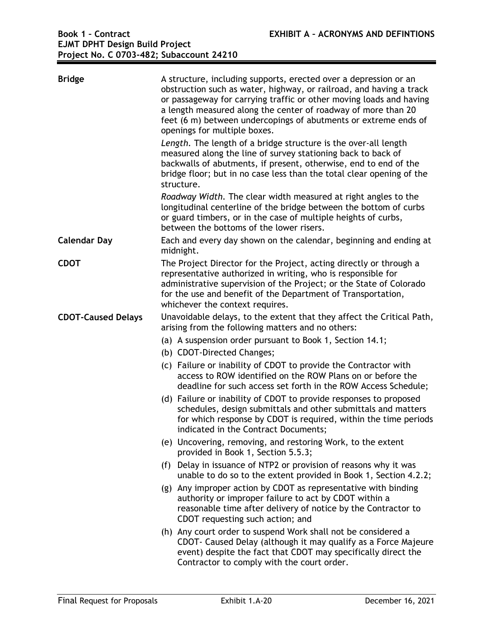| <b>Bridge</b>             | A structure, including supports, erected over a depression or an<br>obstruction such as water, highway, or railroad, and having a track<br>or passageway for carrying traffic or other moving loads and having<br>a length measured along the center of roadway of more than 20<br>feet (6 m) between undercopings of abutments or extreme ends of<br>openings for multiple boxes.<br>Length. The length of a bridge structure is the over-all length<br>measured along the line of survey stationing back to back of<br>backwalls of abutments, if present, otherwise, end to end of the<br>bridge floor; but in no case less than the total clear opening of the<br>structure.<br>Roadway Width. The clear width measured at right angles to the<br>longitudinal centerline of the bridge between the bottom of curbs<br>or guard timbers, or in the case of multiple heights of curbs, |
|---------------------------|-------------------------------------------------------------------------------------------------------------------------------------------------------------------------------------------------------------------------------------------------------------------------------------------------------------------------------------------------------------------------------------------------------------------------------------------------------------------------------------------------------------------------------------------------------------------------------------------------------------------------------------------------------------------------------------------------------------------------------------------------------------------------------------------------------------------------------------------------------------------------------------------|
|                           | between the bottoms of the lower risers.                                                                                                                                                                                                                                                                                                                                                                                                                                                                                                                                                                                                                                                                                                                                                                                                                                                  |
| <b>Calendar Day</b>       | Each and every day shown on the calendar, beginning and ending at<br>midnight.                                                                                                                                                                                                                                                                                                                                                                                                                                                                                                                                                                                                                                                                                                                                                                                                            |
| <b>CDOT</b>               | The Project Director for the Project, acting directly or through a<br>representative authorized in writing, who is responsible for<br>administrative supervision of the Project; or the State of Colorado<br>for the use and benefit of the Department of Transportation,<br>whichever the context requires.                                                                                                                                                                                                                                                                                                                                                                                                                                                                                                                                                                              |
| <b>CDOT-Caused Delays</b> | Unavoidable delays, to the extent that they affect the Critical Path,<br>arising from the following matters and no others:                                                                                                                                                                                                                                                                                                                                                                                                                                                                                                                                                                                                                                                                                                                                                                |
|                           | (a) A suspension order pursuant to Book 1, Section 14.1;                                                                                                                                                                                                                                                                                                                                                                                                                                                                                                                                                                                                                                                                                                                                                                                                                                  |
|                           | (b) CDOT-Directed Changes;                                                                                                                                                                                                                                                                                                                                                                                                                                                                                                                                                                                                                                                                                                                                                                                                                                                                |
|                           | (c) Failure or inability of CDOT to provide the Contractor with<br>access to ROW identified on the ROW Plans on or before the<br>deadline for such access set forth in the ROW Access Schedule;                                                                                                                                                                                                                                                                                                                                                                                                                                                                                                                                                                                                                                                                                           |
|                           | (d) Failure or inability of CDOT to provide responses to proposed<br>schedules, design submittals and other submittals and matters<br>for which response by CDOT is required, within the time periods<br>indicated in the Contract Documents;                                                                                                                                                                                                                                                                                                                                                                                                                                                                                                                                                                                                                                             |
|                           | (e) Uncovering, removing, and restoring Work, to the extent<br>provided in Book 1, Section 5.5.3;                                                                                                                                                                                                                                                                                                                                                                                                                                                                                                                                                                                                                                                                                                                                                                                         |
|                           | (f) Delay in issuance of NTP2 or provision of reasons why it was<br>unable to do so to the extent provided in Book 1, Section 4.2.2;                                                                                                                                                                                                                                                                                                                                                                                                                                                                                                                                                                                                                                                                                                                                                      |
|                           | (g) Any improper action by CDOT as representative with binding<br>authority or improper failure to act by CDOT within a<br>reasonable time after delivery of notice by the Contractor to<br>CDOT requesting such action; and                                                                                                                                                                                                                                                                                                                                                                                                                                                                                                                                                                                                                                                              |
|                           | (h) Any court order to suspend Work shall not be considered a<br>CDOT - Caused Delay (although it may qualify as a Force Majeure<br>event) despite the fact that CDOT may specifically direct the<br>Contractor to comply with the court order.                                                                                                                                                                                                                                                                                                                                                                                                                                                                                                                                                                                                                                           |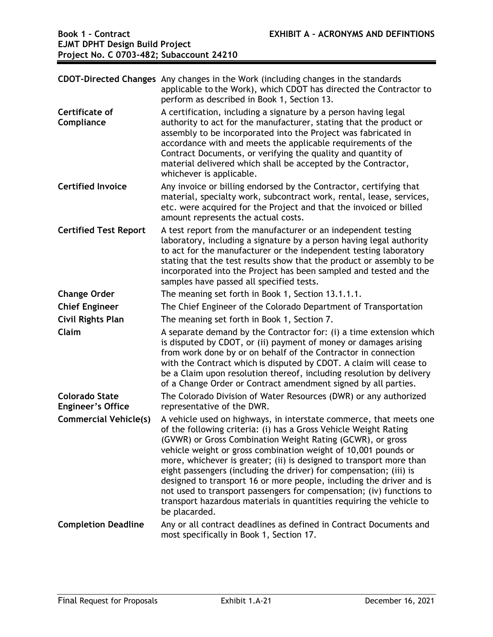|                                                   | CDOT-Directed Changes Any changes in the Work (including changes in the standards<br>applicable to the Work), which CDOT has directed the Contractor to<br>perform as described in Book 1, Section 13.                                                                                                                                                                                                                                                                                                                                                                                                                                                       |
|---------------------------------------------------|--------------------------------------------------------------------------------------------------------------------------------------------------------------------------------------------------------------------------------------------------------------------------------------------------------------------------------------------------------------------------------------------------------------------------------------------------------------------------------------------------------------------------------------------------------------------------------------------------------------------------------------------------------------|
| Certificate of<br>Compliance                      | A certification, including a signature by a person having legal<br>authority to act for the manufacturer, stating that the product or<br>assembly to be incorporated into the Project was fabricated in<br>accordance with and meets the applicable requirements of the<br>Contract Documents, or verifying the quality and quantity of<br>material delivered which shall be accepted by the Contractor,<br>whichever is applicable.                                                                                                                                                                                                                         |
| <b>Certified Invoice</b>                          | Any invoice or billing endorsed by the Contractor, certifying that<br>material, specialty work, subcontract work, rental, lease, services,<br>etc. were acquired for the Project and that the invoiced or billed<br>amount represents the actual costs.                                                                                                                                                                                                                                                                                                                                                                                                      |
| <b>Certified Test Report</b>                      | A test report from the manufacturer or an independent testing<br>laboratory, including a signature by a person having legal authority<br>to act for the manufacturer or the independent testing laboratory<br>stating that the test results show that the product or assembly to be<br>incorporated into the Project has been sampled and tested and the<br>samples have passed all specified tests.                                                                                                                                                                                                                                                         |
| <b>Change Order</b>                               | The meaning set forth in Book 1, Section 13.1.1.1.                                                                                                                                                                                                                                                                                                                                                                                                                                                                                                                                                                                                           |
| <b>Chief Engineer</b>                             | The Chief Engineer of the Colorado Department of Transportation                                                                                                                                                                                                                                                                                                                                                                                                                                                                                                                                                                                              |
| <b>Civil Rights Plan</b>                          | The meaning set forth in Book 1, Section 7.                                                                                                                                                                                                                                                                                                                                                                                                                                                                                                                                                                                                                  |
| Claim                                             | A separate demand by the Contractor for: (i) a time extension which<br>is disputed by CDOT, or (ii) payment of money or damages arising<br>from work done by or on behalf of the Contractor in connection<br>with the Contract which is disputed by CDOT. A claim will cease to<br>be a Claim upon resolution thereof, including resolution by delivery<br>of a Change Order or Contract amendment signed by all parties.                                                                                                                                                                                                                                    |
| <b>Colorado State</b><br><b>Engineer's Office</b> | The Colorado Division of Water Resources (DWR) or any authorized<br>representative of the DWR.                                                                                                                                                                                                                                                                                                                                                                                                                                                                                                                                                               |
| <b>Commercial Vehicle(s)</b>                      | A vehicle used on highways, in interstate commerce, that meets one<br>of the following criteria: (i) has a Gross Vehicle Weight Rating<br>(GVWR) or Gross Combination Weight Rating (GCWR), or gross<br>vehicle weight or gross combination weight of 10,001 pounds or<br>more, whichever is greater; (ii) is designed to transport more than<br>eight passengers (including the driver) for compensation; (iii) is<br>designed to transport 16 or more people, including the driver and is<br>not used to transport passengers for compensation; (iv) functions to<br>transport hazardous materials in quantities requiring the vehicle to<br>be placarded. |
| <b>Completion Deadline</b>                        | Any or all contract deadlines as defined in Contract Documents and<br>most specifically in Book 1, Section 17.                                                                                                                                                                                                                                                                                                                                                                                                                                                                                                                                               |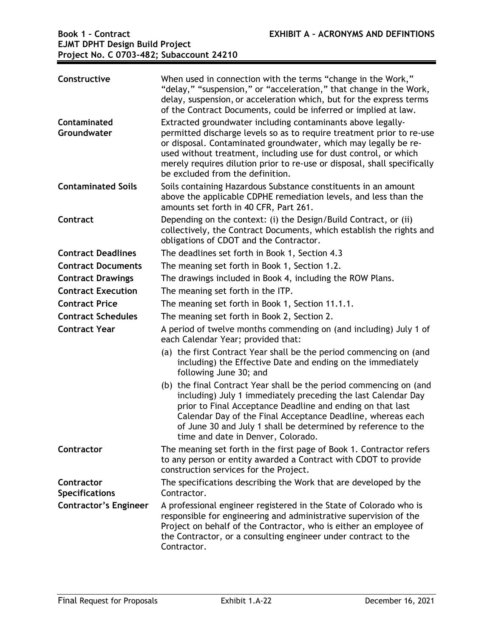| Constructive                        | When used in connection with the terms "change in the Work,"<br>"delay," "suspension," or "acceleration," that change in the Work,<br>delay, suspension, or acceleration which, but for the express terms<br>of the Contract Documents, could be inferred or implied at law.                                                                                                                |
|-------------------------------------|---------------------------------------------------------------------------------------------------------------------------------------------------------------------------------------------------------------------------------------------------------------------------------------------------------------------------------------------------------------------------------------------|
| Contaminated<br>Groundwater         | Extracted groundwater including contaminants above legally-<br>permitted discharge levels so as to require treatment prior to re-use<br>or disposal. Contaminated groundwater, which may legally be re-<br>used without treatment, including use for dust control, or which<br>merely requires dilution prior to re-use or disposal, shall specifically<br>be excluded from the definition. |
| <b>Contaminated Soils</b>           | Soils containing Hazardous Substance constituents in an amount<br>above the applicable CDPHE remediation levels, and less than the<br>amounts set forth in 40 CFR, Part 261.                                                                                                                                                                                                                |
| Contract                            | Depending on the context: (i) the Design/Build Contract, or (ii)<br>collectively, the Contract Documents, which establish the rights and<br>obligations of CDOT and the Contractor.                                                                                                                                                                                                         |
| <b>Contract Deadlines</b>           | The deadlines set forth in Book 1, Section 4.3                                                                                                                                                                                                                                                                                                                                              |
| <b>Contract Documents</b>           | The meaning set forth in Book 1, Section 1.2.                                                                                                                                                                                                                                                                                                                                               |
| <b>Contract Drawings</b>            | The drawings included in Book 4, including the ROW Plans.                                                                                                                                                                                                                                                                                                                                   |
| <b>Contract Execution</b>           | The meaning set forth in the ITP.                                                                                                                                                                                                                                                                                                                                                           |
| <b>Contract Price</b>               | The meaning set forth in Book 1, Section 11.1.1.                                                                                                                                                                                                                                                                                                                                            |
| <b>Contract Schedules</b>           | The meaning set forth in Book 2, Section 2.                                                                                                                                                                                                                                                                                                                                                 |
| <b>Contract Year</b>                | A period of twelve months commending on (and including) July 1 of<br>each Calendar Year; provided that:                                                                                                                                                                                                                                                                                     |
|                                     | (a) the first Contract Year shall be the period commencing on (and<br>including) the Effective Date and ending on the immediately<br>following June 30; and                                                                                                                                                                                                                                 |
|                                     | (b) the final Contract Year shall be the period commencing on (and<br>including) July 1 immediately preceding the last Calendar Day<br>prior to Final Acceptance Deadline and ending on that last<br>Calendar Day of the Final Acceptance Deadline, whereas each<br>of June 30 and July 1 shall be determined by reference to the<br>time and date in Denver, Colorado.                     |
| Contractor                          | The meaning set forth in the first page of Book 1. Contractor refers<br>to any person or entity awarded a Contract with CDOT to provide<br>construction services for the Project.                                                                                                                                                                                                           |
| Contractor<br><b>Specifications</b> | The specifications describing the Work that are developed by the<br>Contractor.                                                                                                                                                                                                                                                                                                             |
| <b>Contractor's Engineer</b>        | A professional engineer registered in the State of Colorado who is<br>responsible for engineering and administrative supervision of the<br>Project on behalf of the Contractor, who is either an employee of<br>the Contractor, or a consulting engineer under contract to the<br>Contractor.                                                                                               |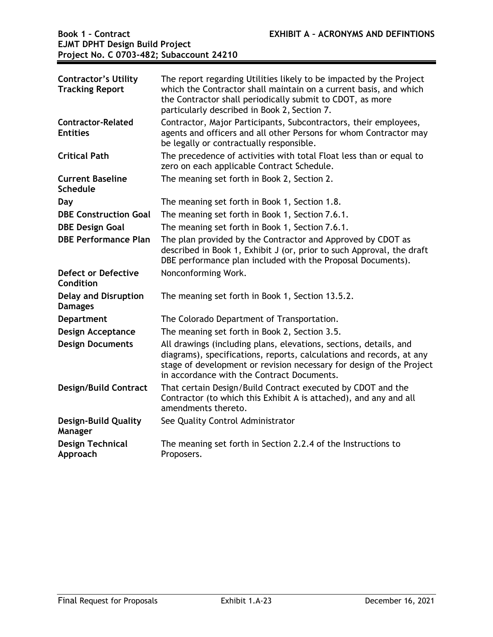| <b>Contractor's Utility</b><br><b>Tracking Report</b> | The report regarding Utilities likely to be impacted by the Project<br>which the Contractor shall maintain on a current basis, and which<br>the Contractor shall periodically submit to CDOT, as more<br>particularly described in Book 2, Section 7.           |
|-------------------------------------------------------|-----------------------------------------------------------------------------------------------------------------------------------------------------------------------------------------------------------------------------------------------------------------|
| <b>Contractor-Related</b><br><b>Entities</b>          | Contractor, Major Participants, Subcontractors, their employees,<br>agents and officers and all other Persons for whom Contractor may<br>be legally or contractually responsible.                                                                               |
| <b>Critical Path</b>                                  | The precedence of activities with total Float less than or equal to<br>zero on each applicable Contract Schedule.                                                                                                                                               |
| <b>Current Baseline</b><br><b>Schedule</b>            | The meaning set forth in Book 2, Section 2.                                                                                                                                                                                                                     |
| Day                                                   | The meaning set forth in Book 1, Section 1.8.                                                                                                                                                                                                                   |
| <b>DBE Construction Goal</b>                          | The meaning set forth in Book 1, Section 7.6.1.                                                                                                                                                                                                                 |
| <b>DBE Design Goal</b>                                | The meaning set forth in Book 1, Section 7.6.1.                                                                                                                                                                                                                 |
| <b>DBE Performance Plan</b>                           | The plan provided by the Contractor and Approved by CDOT as<br>described in Book 1, Exhibit J (or, prior to such Approval, the draft<br>DBE performance plan included with the Proposal Documents).                                                             |
| Defect or Defective<br>Condition                      | Nonconforming Work.                                                                                                                                                                                                                                             |
| <b>Delay and Disruption</b><br><b>Damages</b>         | The meaning set forth in Book 1, Section 13.5.2.                                                                                                                                                                                                                |
| <b>Department</b>                                     | The Colorado Department of Transportation.                                                                                                                                                                                                                      |
| <b>Design Acceptance</b>                              | The meaning set forth in Book 2, Section 3.5.                                                                                                                                                                                                                   |
| <b>Design Documents</b>                               | All drawings (including plans, elevations, sections, details, and<br>diagrams), specifications, reports, calculations and records, at any<br>stage of development or revision necessary for design of the Project<br>in accordance with the Contract Documents. |
| <b>Design/Build Contract</b>                          | That certain Design/Build Contract executed by CDOT and the<br>Contractor (to which this Exhibit A is attached), and any and all<br>amendments thereto.                                                                                                         |
| <b>Design-Build Quality</b><br>Manager                | See Quality Control Administrator                                                                                                                                                                                                                               |
| <b>Design Technical</b><br>Approach                   | The meaning set forth in Section 2.2.4 of the Instructions to<br>Proposers.                                                                                                                                                                                     |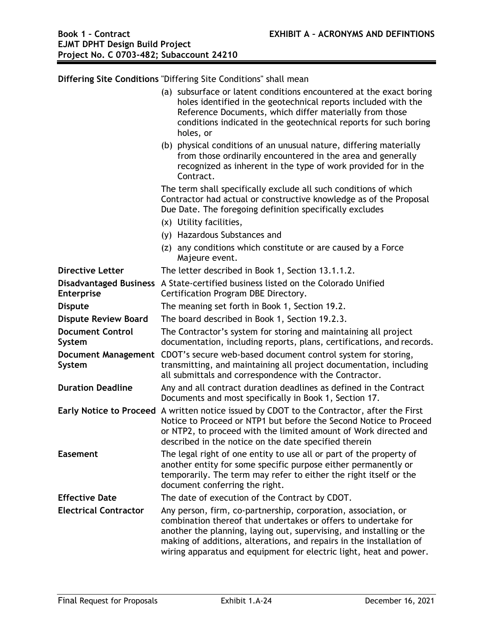**Differing Site Conditions** "Differing Site Conditions" shall mean (a) subsurface or latent conditions encountered at the exact boring holes identified in the geotechnical reports included with the Reference Documents, which differ materially from those conditions indicated in the geotechnical reports for such boring holes, or (b) physical conditions of an unusual nature, differing materially from those ordinarily encountered in the area and generally recognized as inherent in the type of work provided for in the Contract. The term shall specifically exclude all such conditions of which Contractor had actual or constructive knowledge as of the Proposal Due Date. The foregoing definition specifically excludes (x) Utility facilities, (y) Hazardous Substances and (z) any conditions which constitute or are caused by a Force Majeure event. **Directive Letter** The letter described in Book 1, Section 13.1.1.2. **Disadvantaged Business**  A State-certified business listed on the Colorado Unified **Enterprise**  Certification Program DBE Directory. **Dispute** The meaning set forth in Book 1, Section 19.2. **Dispute Review Board** The board described in Book 1, Section 19.2.3. **Document Control System**  The Contractor's system for storing and maintaining all project documentation, including reports, plans, certifications, and records. **Document Management**  CDOT's secure web-based document control system for storing, **System**  transmitting, and maintaining all project documentation, including all submittals and correspondence with the Contractor. **Duration Deadline** Any and all contract duration deadlines as defined in the Contract Documents and most specifically in Book 1, Section 17. **Early Notice to Proceed** A written notice issued by CDOT to the Contractor, after the First Notice to Proceed or NTP1 but before the Second Notice to Proceed or NTP2, to proceed with the limited amount of Work directed and described in the notice on the date specified therein **Easement** The legal right of one entity to use all or part of the property of another entity for some specific purpose either permanently or temporarily. The term may refer to either the right itself or the document conferring the right. **Effective Date** The date of execution of the Contract by CDOT. **Electrical Contractor** Any person, firm, co-partnership, corporation, association, or combination thereof that undertakes or offers to undertake for another the planning, laying out, supervising, and installing or the making of additions, alterations, and repairs in the installation of wiring apparatus and equipment for electric light, heat and power.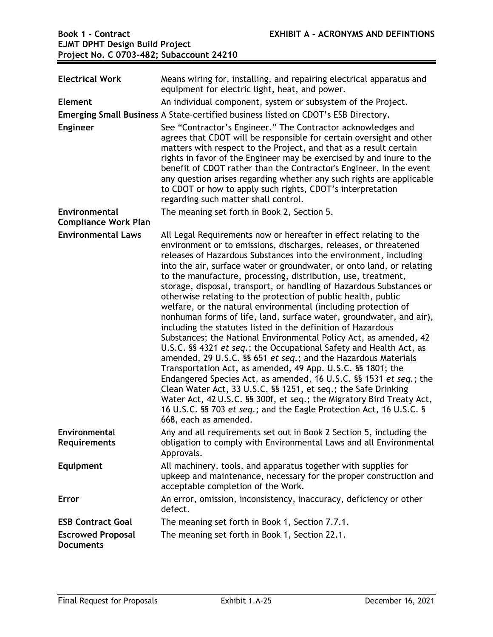| <b>Electrical Work</b>                       | Means wiring for, installing, and repairing electrical apparatus and<br>equipment for electric light, heat, and power.                                                                                                                                                                                                                                                                                                                                                                                                                                                                                                                                                                                                                                                                                                                                                                                                                                                                                                                                                                                                                                                                                                                                                                             |
|----------------------------------------------|----------------------------------------------------------------------------------------------------------------------------------------------------------------------------------------------------------------------------------------------------------------------------------------------------------------------------------------------------------------------------------------------------------------------------------------------------------------------------------------------------------------------------------------------------------------------------------------------------------------------------------------------------------------------------------------------------------------------------------------------------------------------------------------------------------------------------------------------------------------------------------------------------------------------------------------------------------------------------------------------------------------------------------------------------------------------------------------------------------------------------------------------------------------------------------------------------------------------------------------------------------------------------------------------------|
| <b>Element</b>                               | An individual component, system or subsystem of the Project.                                                                                                                                                                                                                                                                                                                                                                                                                                                                                                                                                                                                                                                                                                                                                                                                                                                                                                                                                                                                                                                                                                                                                                                                                                       |
|                                              | Emerging Small Business A State-certified business listed on CDOT's ESB Directory.                                                                                                                                                                                                                                                                                                                                                                                                                                                                                                                                                                                                                                                                                                                                                                                                                                                                                                                                                                                                                                                                                                                                                                                                                 |
| <b>Engineer</b>                              | See "Contractor's Engineer." The Contractor acknowledges and<br>agrees that CDOT will be responsible for certain oversight and other<br>matters with respect to the Project, and that as a result certain<br>rights in favor of the Engineer may be exercised by and inure to the<br>benefit of CDOT rather than the Contractor's Engineer. In the event<br>any question arises regarding whether any such rights are applicable<br>to CDOT or how to apply such rights, CDOT's interpretation<br>regarding such matter shall control.                                                                                                                                                                                                                                                                                                                                                                                                                                                                                                                                                                                                                                                                                                                                                             |
| Environmental<br><b>Compliance Work Plan</b> | The meaning set forth in Book 2, Section 5.                                                                                                                                                                                                                                                                                                                                                                                                                                                                                                                                                                                                                                                                                                                                                                                                                                                                                                                                                                                                                                                                                                                                                                                                                                                        |
| <b>Environmental Laws</b>                    | All Legal Requirements now or hereafter in effect relating to the<br>environment or to emissions, discharges, releases, or threatened<br>releases of Hazardous Substances into the environment, including<br>into the air, surface water or groundwater, or onto land, or relating<br>to the manufacture, processing, distribution, use, treatment,<br>storage, disposal, transport, or handling of Hazardous Substances or<br>otherwise relating to the protection of public health, public<br>welfare, or the natural environmental (including protection of<br>nonhuman forms of life, land, surface water, groundwater, and air),<br>including the statutes listed in the definition of Hazardous<br>Substances; the National Environmental Policy Act, as amended, 42<br>U.S.C. §§ 4321 et seq.; the Occupational Safety and Health Act, as<br>amended, 29 U.S.C. §§ 651 et seq.; and the Hazardous Materials<br>Transportation Act, as amended, 49 App. U.S.C. §§ 1801; the<br>Endangered Species Act, as amended, 16 U.S.C. §§ 1531 et seq.; the<br>Clean Water Act, 33 U.S.C. §§ 1251, et seq.; the Safe Drinking<br>Water Act, 42 U.S.C. §§ 300f, et seq.; the Migratory Bird Treaty Act,<br>16 U.S.C. §§ 703 et seq.; and the Eagle Protection Act, 16 U.S.C. §<br>668, each as amended. |
| Environmental<br><b>Requirements</b>         | Any and all requirements set out in Book 2 Section 5, including the<br>obligation to comply with Environmental Laws and all Environmental<br>Approvals.                                                                                                                                                                                                                                                                                                                                                                                                                                                                                                                                                                                                                                                                                                                                                                                                                                                                                                                                                                                                                                                                                                                                            |
| <b>Equipment</b>                             | All machinery, tools, and apparatus together with supplies for<br>upkeep and maintenance, necessary for the proper construction and<br>acceptable completion of the Work.                                                                                                                                                                                                                                                                                                                                                                                                                                                                                                                                                                                                                                                                                                                                                                                                                                                                                                                                                                                                                                                                                                                          |
| Error                                        | An error, omission, inconsistency, inaccuracy, deficiency or other<br>defect.                                                                                                                                                                                                                                                                                                                                                                                                                                                                                                                                                                                                                                                                                                                                                                                                                                                                                                                                                                                                                                                                                                                                                                                                                      |
| <b>ESB Contract Goal</b>                     | The meaning set forth in Book 1, Section 7.7.1.                                                                                                                                                                                                                                                                                                                                                                                                                                                                                                                                                                                                                                                                                                                                                                                                                                                                                                                                                                                                                                                                                                                                                                                                                                                    |
| <b>Escrowed Proposal</b><br><b>Documents</b> | The meaning set forth in Book 1, Section 22.1.                                                                                                                                                                                                                                                                                                                                                                                                                                                                                                                                                                                                                                                                                                                                                                                                                                                                                                                                                                                                                                                                                                                                                                                                                                                     |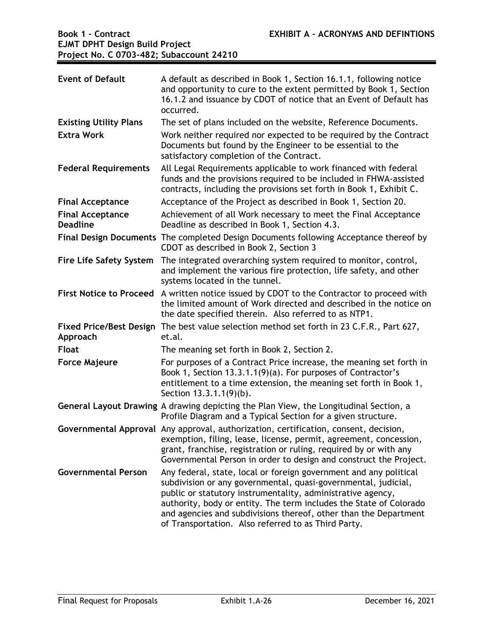| <b>Event of Default</b>                    | A default as described in Book 1, Section 16.1.1, following notice<br>and opportunity to cure to the extent permitted by Book 1, Section<br>16.1.2 and issuance by CDOT of notice that an Event of Default has<br>occurred.                                                                                                                                                                         |
|--------------------------------------------|-----------------------------------------------------------------------------------------------------------------------------------------------------------------------------------------------------------------------------------------------------------------------------------------------------------------------------------------------------------------------------------------------------|
| <b>Existing Utility Plans</b>              | The set of plans included on the website, Reference Documents.                                                                                                                                                                                                                                                                                                                                      |
| <b>Extra Work</b>                          | Work neither required nor expected to be required by the Contract<br>Documents but found by the Engineer to be essential to the<br>satisfactory completion of the Contract.                                                                                                                                                                                                                         |
| <b>Federal Requirements</b>                | All Legal Requirements applicable to work financed with federal<br>funds and the provisions required to be included in FHWA-assisted<br>contracts, including the provisions set forth in Book 1, Exhibit C.                                                                                                                                                                                         |
| <b>Final Acceptance</b>                    | Acceptance of the Project as described in Book 1, Section 20.                                                                                                                                                                                                                                                                                                                                       |
| <b>Final Acceptance</b><br><b>Deadline</b> | Achievement of all Work necessary to meet the Final Acceptance<br>Deadline as described in Book 1, Section 4.3.                                                                                                                                                                                                                                                                                     |
|                                            | Final Design Documents The completed Design Documents following Acceptance thereof by<br>CDOT as described in Book 2, Section 3                                                                                                                                                                                                                                                                     |
| <b>Fire Life Safety System</b>             | The integrated overarching system required to monitor, control,<br>and implement the various fire protection, life safety, and other<br>systems located in the tunnel.                                                                                                                                                                                                                              |
| <b>First Notice to Proceed</b>             | A written notice issued by CDOT to the Contractor to proceed with<br>the limited amount of Work directed and described in the notice on<br>the date specified therein. Also referred to as NTP1.                                                                                                                                                                                                    |
| <b>Fixed Price/Best Design</b><br>Approach | The best value selection method set forth in 23 C.F.R., Part 627,<br>et.al.                                                                                                                                                                                                                                                                                                                         |
| <b>Float</b>                               | The meaning set forth in Book 2, Section 2.                                                                                                                                                                                                                                                                                                                                                         |
| <b>Force Majeure</b>                       | For purposes of a Contract Price increase, the meaning set forth in<br>Book 1, Section 13.3.1.1(9)(a). For purposes of Contractor's<br>entitlement to a time extension, the meaning set forth in Book 1,<br>Section 13.3.1.1(9)(b).                                                                                                                                                                 |
|                                            | General Layout Drawing A drawing depicting the Plan View, the Longitudinal Section, a<br>Profile Diagram and a Typical Section for a given structure.                                                                                                                                                                                                                                               |
|                                            | Governmental Approval Any approval, authorization, certification, consent, decision,<br>exemption, filing, lease, license, permit, agreement, concession,<br>grant, franchise, registration or ruling, required by or with any<br>Governmental Person in order to design and construct the Project.                                                                                                 |
| <b>Governmental Person</b>                 | Any federal, state, local or foreign government and any political<br>subdivision or any governmental, quasi-governmental, judicial,<br>public or statutory instrumentality, administrative agency,<br>authority, body or entity. The term includes the State of Colorado<br>and agencies and subdivisions thereof, other than the Department<br>of Transportation. Also referred to as Third Party. |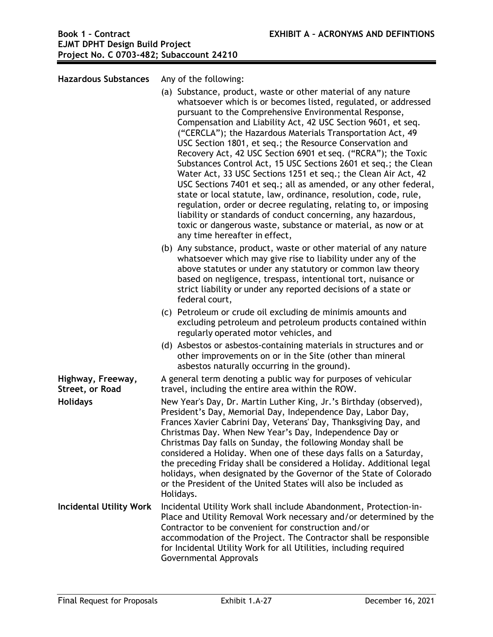**Hazardous Substances** Any of the following: (a) Substance, product, waste or other material of any nature whatsoever which is or becomes listed, regulated, or addressed pursuant to the Comprehensive Environmental Response, Compensation and Liability Act, 42 USC Section 9601, et seq. ("CERCLA"); the Hazardous Materials Transportation Act, 49 USC Section 1801, et seq.; the Resource Conservation and Recovery Act, 42 USC Section 6901 et seq. ("RCRA"); the Toxic Substances Control Act, 15 USC Sections 2601 et seq.; the Clean Water Act, 33 USC Sections 1251 et seq.; the Clean Air Act, 42 USC Sections 7401 et seq.; all as amended, or any other federal, state or local statute, law, ordinance, resolution, code, rule, regulation, order or decree regulating, relating to, or imposing liability or standards of conduct concerning, any hazardous, toxic or dangerous waste, substance or material, as now or at any time hereafter in effect, (b) Any substance, product, waste or other material of any nature whatsoever which may give rise to liability under any of the above statutes or under any statutory or common law theory based on negligence, trespass, intentional tort, nuisance or strict liability or under any reported decisions of a state or federal court, (c) Petroleum or crude oil excluding de minimis amounts and excluding petroleum and petroleum products contained within regularly operated motor vehicles, and (d) Asbestos or asbestos-containing materials in structures and or other improvements on or in the Site (other than mineral asbestos naturally occurring in the ground). **Highway, Freeway, Street, or Road**  A general term denoting a public way for purposes of vehicular travel, including the entire area within the ROW. **Holidays** New Year's Day, Dr. Martin Luther King, Jr.'s Birthday (observed), President's Day, Memorial Day, Independence Day, Labor Day, Frances Xavier Cabrini Day, Veterans' Day, Thanksgiving Day, and Christmas Day. When New Year's Day, Independence Day or Christmas Day falls on Sunday, the following Monday shall be considered a Holiday. When one of these days falls on a Saturday, the preceding Friday shall be considered a Holiday. Additional legal holidays, when designated by the Governor of the State of Colorado or the President of the United States will also be included as Holidays. **Incidental Utility Work** Incidental Utility Work shall include Abandonment, Protection-in-Place and Utility Removal Work necessary and/or determined by the Contractor to be convenient for construction and/or accommodation of the Project. The Contractor shall be responsible for Incidental Utility Work for all Utilities, including required

Governmental Approvals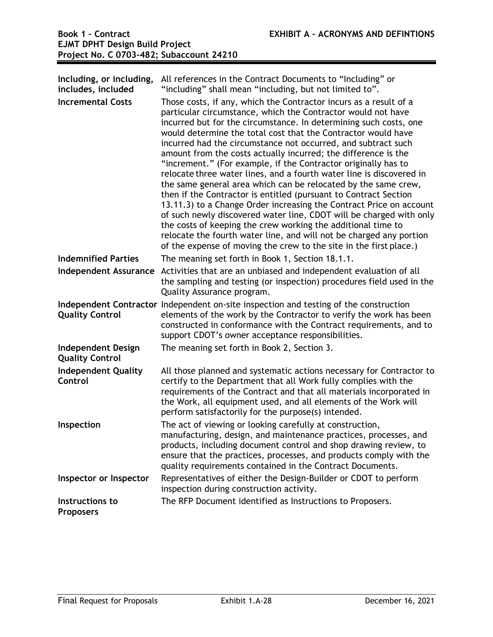| Including, or including,<br>includes, included<br><b>Incremental Costs</b> | All references in the Contract Documents to "Including" or<br>"including" shall mean "including, but not limited to".<br>Those costs, if any, which the Contractor incurs as a result of a<br>particular circumstance, which the Contractor would not have<br>incurred but for the circumstance. In determining such costs, one<br>would determine the total cost that the Contractor would have<br>incurred had the circumstance not occurred, and subtract such<br>amount from the costs actually incurred; the difference is the<br>"increment." (For example, if the Contractor originally has to<br>relocate three water lines, and a fourth water line is discovered in<br>the same general area which can be relocated by the same crew,<br>then if the Contractor is entitled (pursuant to Contract Section<br>13.11.3) to a Change Order increasing the Contract Price on account<br>of such newly discovered water line, CDOT will be charged with only<br>the costs of keeping the crew working the additional time to<br>relocate the fourth water line, and will not be charged any portion<br>of the expense of moving the crew to the site in the first place.) |
|----------------------------------------------------------------------------|--------------------------------------------------------------------------------------------------------------------------------------------------------------------------------------------------------------------------------------------------------------------------------------------------------------------------------------------------------------------------------------------------------------------------------------------------------------------------------------------------------------------------------------------------------------------------------------------------------------------------------------------------------------------------------------------------------------------------------------------------------------------------------------------------------------------------------------------------------------------------------------------------------------------------------------------------------------------------------------------------------------------------------------------------------------------------------------------------------------------------------------------------------------------------------|
| <b>Indemnified Parties</b>                                                 | The meaning set forth in Book 1, Section 18.1.1.                                                                                                                                                                                                                                                                                                                                                                                                                                                                                                                                                                                                                                                                                                                                                                                                                                                                                                                                                                                                                                                                                                                               |
| <b>Independent Assurance</b>                                               | Activities that are an unbiased and independent evaluation of all<br>the sampling and testing (or inspection) procedures field used in the<br>Quality Assurance program.                                                                                                                                                                                                                                                                                                                                                                                                                                                                                                                                                                                                                                                                                                                                                                                                                                                                                                                                                                                                       |
| <b>Quality Control</b>                                                     | Independent Contractor Independent on-site inspection and testing of the construction<br>elements of the work by the Contractor to verify the work has been<br>constructed in conformance with the Contract requirements, and to<br>support CDOT's owner acceptance responsibilities.                                                                                                                                                                                                                                                                                                                                                                                                                                                                                                                                                                                                                                                                                                                                                                                                                                                                                          |
| <b>Independent Design</b><br><b>Quality Control</b>                        | The meaning set forth in Book 2, Section 3.                                                                                                                                                                                                                                                                                                                                                                                                                                                                                                                                                                                                                                                                                                                                                                                                                                                                                                                                                                                                                                                                                                                                    |
| <b>Independent Quality</b><br>Control                                      | All those planned and systematic actions necessary for Contractor to<br>certify to the Department that all Work fully complies with the<br>requirements of the Contract and that all materials incorporated in<br>the Work, all equipment used, and all elements of the Work will<br>perform satisfactorily for the purpose(s) intended.                                                                                                                                                                                                                                                                                                                                                                                                                                                                                                                                                                                                                                                                                                                                                                                                                                       |
| Inspection                                                                 | The act of viewing or looking carefully at construction,<br>manufacturing, design, and maintenance practices, processes, and<br>products, including document control and shop drawing review, to<br>ensure that the practices, processes, and products comply with the<br>quality requirements contained in the Contract Documents.                                                                                                                                                                                                                                                                                                                                                                                                                                                                                                                                                                                                                                                                                                                                                                                                                                            |
| Inspector or Inspector                                                     | Representatives of either the Design-Builder or CDOT to perform<br>inspection during construction activity.                                                                                                                                                                                                                                                                                                                                                                                                                                                                                                                                                                                                                                                                                                                                                                                                                                                                                                                                                                                                                                                                    |
| Instructions to<br><b>Proposers</b>                                        | The RFP Document identified as Instructions to Proposers.                                                                                                                                                                                                                                                                                                                                                                                                                                                                                                                                                                                                                                                                                                                                                                                                                                                                                                                                                                                                                                                                                                                      |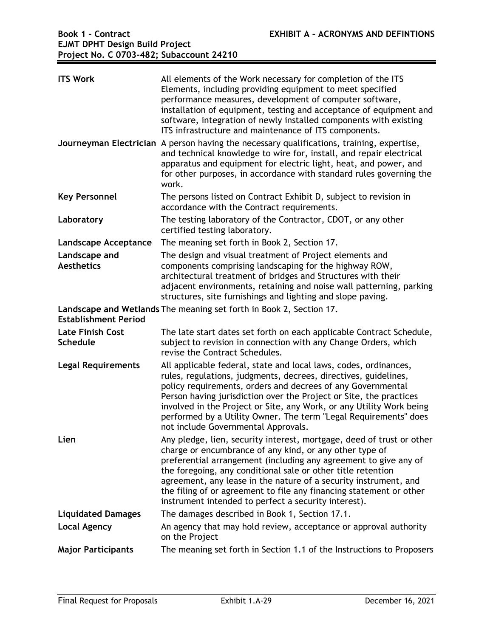| <b>ITS Work</b>                            | All elements of the Work necessary for completion of the ITS<br>Elements, including providing equipment to meet specified<br>performance measures, development of computer software,<br>installation of equipment, testing and acceptance of equipment and<br>software, integration of newly installed components with existing<br>ITS infrastructure and maintenance of ITS components.                                                                                |
|--------------------------------------------|-------------------------------------------------------------------------------------------------------------------------------------------------------------------------------------------------------------------------------------------------------------------------------------------------------------------------------------------------------------------------------------------------------------------------------------------------------------------------|
|                                            | Journeyman Electrician A person having the necessary qualifications, training, expertise,<br>and technical knowledge to wire for, install, and repair electrical<br>apparatus and equipment for electric light, heat, and power, and<br>for other purposes, in accordance with standard rules governing the<br>work.                                                                                                                                                    |
| <b>Key Personnel</b>                       | The persons listed on Contract Exhibit D, subject to revision in<br>accordance with the Contract requirements.                                                                                                                                                                                                                                                                                                                                                          |
| Laboratory                                 | The testing laboratory of the Contractor, CDOT, or any other<br>certified testing laboratory.                                                                                                                                                                                                                                                                                                                                                                           |
| <b>Landscape Acceptance</b>                | The meaning set forth in Book 2, Section 17.                                                                                                                                                                                                                                                                                                                                                                                                                            |
| Landscape and<br><b>Aesthetics</b>         | The design and visual treatment of Project elements and<br>components comprising landscaping for the highway ROW,<br>architectural treatment of bridges and Structures with their<br>adjacent environments, retaining and noise wall patterning, parking<br>structures, site furnishings and lighting and slope paving.                                                                                                                                                 |
| <b>Establishment Period</b>                | Landscape and Wetlands The meaning set forth in Book 2, Section 17.                                                                                                                                                                                                                                                                                                                                                                                                     |
| <b>Late Finish Cost</b><br><b>Schedule</b> | The late start dates set forth on each applicable Contract Schedule,<br>subject to revision in connection with any Change Orders, which<br>revise the Contract Schedules.                                                                                                                                                                                                                                                                                               |
| <b>Legal Requirements</b>                  | All applicable federal, state and local laws, codes, ordinances,<br>rules, regulations, judgments, decrees, directives, guidelines,<br>policy requirements, orders and decrees of any Governmental<br>Person having jurisdiction over the Project or Site, the practices<br>involved in the Project or Site, any Work, or any Utility Work being<br>performed by a Utility Owner. The term "Legal Requirements" does<br>not include Governmental Approvals.             |
| Lien                                       | Any pledge, lien, security interest, mortgage, deed of trust or other<br>charge or encumbrance of any kind, or any other type of<br>preferential arrangement (including any agreement to give any of<br>the foregoing, any conditional sale or other title retention<br>agreement, any lease in the nature of a security instrument, and<br>the filing of or agreement to file any financing statement or other<br>instrument intended to perfect a security interest). |
| <b>Liquidated Damages</b>                  | The damages described in Book 1, Section 17.1.                                                                                                                                                                                                                                                                                                                                                                                                                          |
| <b>Local Agency</b>                        | An agency that may hold review, acceptance or approval authority<br>on the Project                                                                                                                                                                                                                                                                                                                                                                                      |
| <b>Major Participants</b>                  | The meaning set forth in Section 1.1 of the Instructions to Proposers                                                                                                                                                                                                                                                                                                                                                                                                   |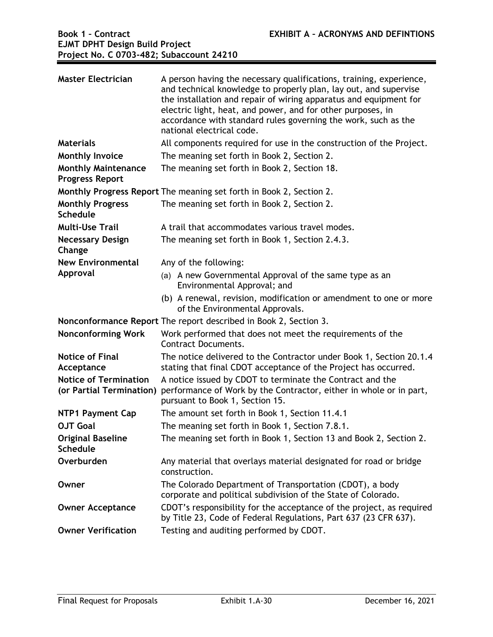| <b>Master Electrician</b>                                | A person having the necessary qualifications, training, experience,<br>and technical knowledge to properly plan, lay out, and supervise<br>the installation and repair of wiring apparatus and equipment for<br>electric light, heat, and power, and for other purposes, in<br>accordance with standard rules governing the work, such as the<br>national electrical code. |
|----------------------------------------------------------|----------------------------------------------------------------------------------------------------------------------------------------------------------------------------------------------------------------------------------------------------------------------------------------------------------------------------------------------------------------------------|
| <b>Materials</b>                                         | All components required for use in the construction of the Project.                                                                                                                                                                                                                                                                                                        |
| <b>Monthly Invoice</b>                                   | The meaning set forth in Book 2, Section 2.                                                                                                                                                                                                                                                                                                                                |
| <b>Monthly Maintenance</b><br><b>Progress Report</b>     | The meaning set forth in Book 2, Section 18.                                                                                                                                                                                                                                                                                                                               |
|                                                          | Monthly Progress Report The meaning set forth in Book 2, Section 2.                                                                                                                                                                                                                                                                                                        |
| <b>Monthly Progress</b><br><b>Schedule</b>               | The meaning set forth in Book 2, Section 2.                                                                                                                                                                                                                                                                                                                                |
| <b>Multi-Use Trail</b>                                   | A trail that accommodates various travel modes.                                                                                                                                                                                                                                                                                                                            |
| <b>Necessary Design</b><br>Change                        | The meaning set forth in Book 1, Section 2.4.3.                                                                                                                                                                                                                                                                                                                            |
| <b>New Environmental</b>                                 | Any of the following:                                                                                                                                                                                                                                                                                                                                                      |
| Approval                                                 | (a) A new Governmental Approval of the same type as an<br>Environmental Approval; and                                                                                                                                                                                                                                                                                      |
|                                                          | (b) A renewal, revision, modification or amendment to one or more<br>of the Environmental Approvals.                                                                                                                                                                                                                                                                       |
|                                                          | Nonconformance Report The report described in Book 2, Section 3.                                                                                                                                                                                                                                                                                                           |
| <b>Nonconforming Work</b>                                | Work performed that does not meet the requirements of the<br><b>Contract Documents.</b>                                                                                                                                                                                                                                                                                    |
| <b>Notice of Final</b><br>Acceptance                     | The notice delivered to the Contractor under Book 1, Section 20.1.4<br>stating that final CDOT acceptance of the Project has occurred.                                                                                                                                                                                                                                     |
| <b>Notice of Termination</b><br>(or Partial Termination) | A notice issued by CDOT to terminate the Contract and the<br>performance of Work by the Contractor, either in whole or in part,<br>pursuant to Book 1, Section 15.                                                                                                                                                                                                         |
| <b>NTP1 Payment Cap</b>                                  | The amount set forth in Book 1, Section 11.4.1                                                                                                                                                                                                                                                                                                                             |
| <b>OJT Goal</b>                                          | The meaning set forth in Book 1, Section 7.8.1.                                                                                                                                                                                                                                                                                                                            |
| <b>Original Baseline</b><br><b>Schedule</b>              | The meaning set forth in Book 1, Section 13 and Book 2, Section 2.                                                                                                                                                                                                                                                                                                         |
| Overburden                                               | Any material that overlays material designated for road or bridge<br>construction.                                                                                                                                                                                                                                                                                         |
| Owner                                                    | The Colorado Department of Transportation (CDOT), a body<br>corporate and political subdivision of the State of Colorado.                                                                                                                                                                                                                                                  |
| <b>Owner Acceptance</b>                                  | CDOT's responsibility for the acceptance of the project, as required<br>by Title 23, Code of Federal Regulations, Part 637 (23 CFR 637).                                                                                                                                                                                                                                   |
| <b>Owner Verification</b>                                | Testing and auditing performed by CDOT.                                                                                                                                                                                                                                                                                                                                    |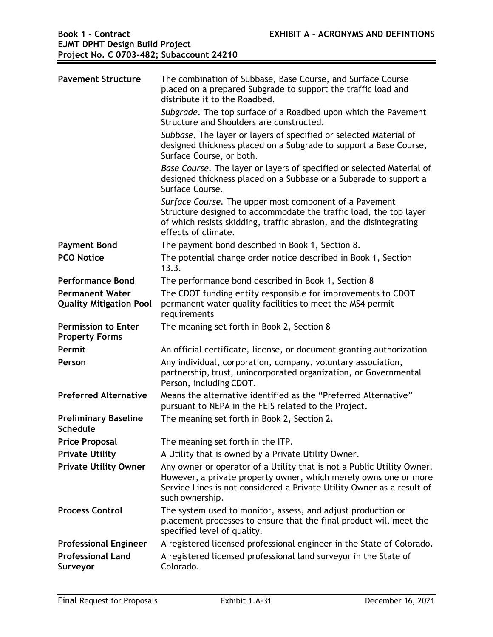| <b>Pavement Structure</b>                                | The combination of Subbase, Base Course, and Surface Course<br>placed on a prepared Subgrade to support the traffic load and<br>distribute it to the Roadbed.                                                                           |
|----------------------------------------------------------|-----------------------------------------------------------------------------------------------------------------------------------------------------------------------------------------------------------------------------------------|
|                                                          | Subgrade. The top surface of a Roadbed upon which the Pavement<br>Structure and Shoulders are constructed.                                                                                                                              |
|                                                          | Subbase. The layer or layers of specified or selected Material of<br>designed thickness placed on a Subgrade to support a Base Course,<br>Surface Course, or both.                                                                      |
|                                                          | Base Course. The layer or layers of specified or selected Material of<br>designed thickness placed on a Subbase or a Subgrade to support a<br>Surface Course.                                                                           |
|                                                          | Surface Course. The upper most component of a Pavement<br>Structure designed to accommodate the traffic load, the top layer<br>of which resists skidding, traffic abrasion, and the disintegrating<br>effects of climate.               |
| <b>Payment Bond</b>                                      | The payment bond described in Book 1, Section 8.                                                                                                                                                                                        |
| <b>PCO Notice</b>                                        | The potential change order notice described in Book 1, Section<br>13.3.                                                                                                                                                                 |
| <b>Performance Bond</b>                                  | The performance bond described in Book 1, Section 8                                                                                                                                                                                     |
| <b>Permanent Water</b><br><b>Quality Mitigation Pool</b> | The CDOT funding entity responsible for improvements to CDOT<br>permanent water quality facilities to meet the MS4 permit<br>requirements                                                                                               |
| <b>Permission to Enter</b><br><b>Property Forms</b>      | The meaning set forth in Book 2, Section 8                                                                                                                                                                                              |
| Permit                                                   | An official certificate, license, or document granting authorization                                                                                                                                                                    |
| Person                                                   | Any individual, corporation, company, voluntary association,<br>partnership, trust, unincorporated organization, or Governmental<br>Person, including CDOT.                                                                             |
| <b>Preferred Alternative</b>                             | Means the alternative identified as the "Preferred Alternative"<br>pursuant to NEPA in the FEIS related to the Project.                                                                                                                 |
| <b>Preliminary Baseline</b><br>Schedule                  | The meaning set forth in Book 2, Section 2.                                                                                                                                                                                             |
| <b>Price Proposal</b>                                    | The meaning set forth in the ITP.                                                                                                                                                                                                       |
| <b>Private Utility</b>                                   | A Utility that is owned by a Private Utility Owner.                                                                                                                                                                                     |
| <b>Private Utility Owner</b>                             | Any owner or operator of a Utility that is not a Public Utility Owner.<br>However, a private property owner, which merely owns one or more<br>Service Lines is not considered a Private Utility Owner as a result of<br>such ownership. |
| <b>Process Control</b>                                   | The system used to monitor, assess, and adjust production or<br>placement processes to ensure that the final product will meet the<br>specified level of quality.                                                                       |
| <b>Professional Engineer</b>                             | A registered licensed professional engineer in the State of Colorado.                                                                                                                                                                   |
| <b>Professional Land</b><br>Surveyor                     | A registered licensed professional land surveyor in the State of<br>Colorado.                                                                                                                                                           |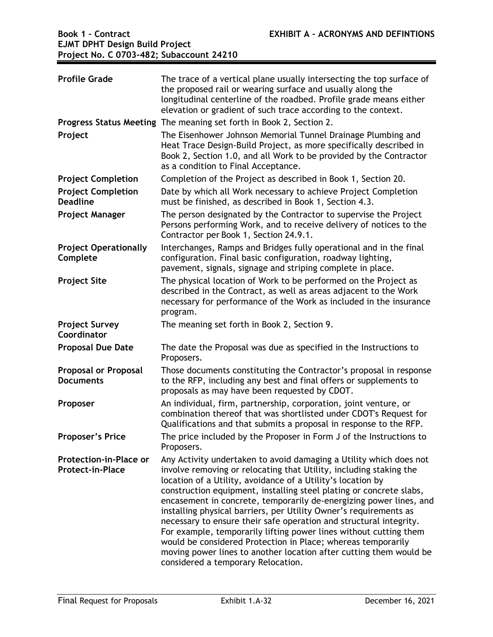| <b>Profile Grade</b>                                     | The trace of a vertical plane usually intersecting the top surface of<br>the proposed rail or wearing surface and usually along the<br>longitudinal centerline of the roadbed. Profile grade means either<br>elevation or gradient of such trace according to the context.                                                                                                                                                                                                                                                                                                                                                                                                                                                                       |
|----------------------------------------------------------|--------------------------------------------------------------------------------------------------------------------------------------------------------------------------------------------------------------------------------------------------------------------------------------------------------------------------------------------------------------------------------------------------------------------------------------------------------------------------------------------------------------------------------------------------------------------------------------------------------------------------------------------------------------------------------------------------------------------------------------------------|
|                                                          | Progress Status Meeting The meaning set forth in Book 2, Section 2.                                                                                                                                                                                                                                                                                                                                                                                                                                                                                                                                                                                                                                                                              |
| Project                                                  | The Eisenhower Johnson Memorial Tunnel Drainage Plumbing and<br>Heat Trace Design-Build Project, as more specifically described in<br>Book 2, Section 1.0, and all Work to be provided by the Contractor<br>as a condition to Final Acceptance.                                                                                                                                                                                                                                                                                                                                                                                                                                                                                                  |
| <b>Project Completion</b>                                | Completion of the Project as described in Book 1, Section 20.                                                                                                                                                                                                                                                                                                                                                                                                                                                                                                                                                                                                                                                                                    |
| <b>Project Completion</b><br><b>Deadline</b>             | Date by which all Work necessary to achieve Project Completion<br>must be finished, as described in Book 1, Section 4.3.                                                                                                                                                                                                                                                                                                                                                                                                                                                                                                                                                                                                                         |
| <b>Project Manager</b>                                   | The person designated by the Contractor to supervise the Project<br>Persons performing Work, and to receive delivery of notices to the<br>Contractor per Book 1, Section 24.9.1.                                                                                                                                                                                                                                                                                                                                                                                                                                                                                                                                                                 |
| <b>Project Operationally</b><br>Complete                 | Interchanges, Ramps and Bridges fully operational and in the final<br>configuration. Final basic configuration, roadway lighting,<br>pavement, signals, signage and striping complete in place.                                                                                                                                                                                                                                                                                                                                                                                                                                                                                                                                                  |
| <b>Project Site</b>                                      | The physical location of Work to be performed on the Project as<br>described in the Contract, as well as areas adjacent to the Work<br>necessary for performance of the Work as included in the insurance<br>program.                                                                                                                                                                                                                                                                                                                                                                                                                                                                                                                            |
| <b>Project Survey</b><br>Coordinator                     | The meaning set forth in Book 2, Section 9.                                                                                                                                                                                                                                                                                                                                                                                                                                                                                                                                                                                                                                                                                                      |
| <b>Proposal Due Date</b>                                 | The date the Proposal was due as specified in the Instructions to<br>Proposers.                                                                                                                                                                                                                                                                                                                                                                                                                                                                                                                                                                                                                                                                  |
| <b>Proposal or Proposal</b><br><b>Documents</b>          | Those documents constituting the Contractor's proposal in response<br>to the RFP, including any best and final offers or supplements to<br>proposals as may have been requested by CDOT.                                                                                                                                                                                                                                                                                                                                                                                                                                                                                                                                                         |
| Proposer                                                 | An individual, firm, partnership, corporation, joint venture, or<br>combination thereof that was shortlisted under CDOT's Request for<br>Qualifications and that submits a proposal in response to the RFP.                                                                                                                                                                                                                                                                                                                                                                                                                                                                                                                                      |
| <b>Proposer's Price</b>                                  | The price included by the Proposer in Form J of the Instructions to<br>Proposers.                                                                                                                                                                                                                                                                                                                                                                                                                                                                                                                                                                                                                                                                |
| <b>Protection-in-Place or</b><br><b>Protect-in-Place</b> | Any Activity undertaken to avoid damaging a Utility which does not<br>involve removing or relocating that Utility, including staking the<br>location of a Utility, avoidance of a Utility's location by<br>construction equipment, installing steel plating or concrete slabs,<br>encasement in concrete, temporarily de-energizing power lines, and<br>installing physical barriers, per Utility Owner's requirements as<br>necessary to ensure their safe operation and structural integrity.<br>For example, temporarily lifting power lines without cutting them<br>would be considered Protection in Place; whereas temporarily<br>moving power lines to another location after cutting them would be<br>considered a temporary Relocation. |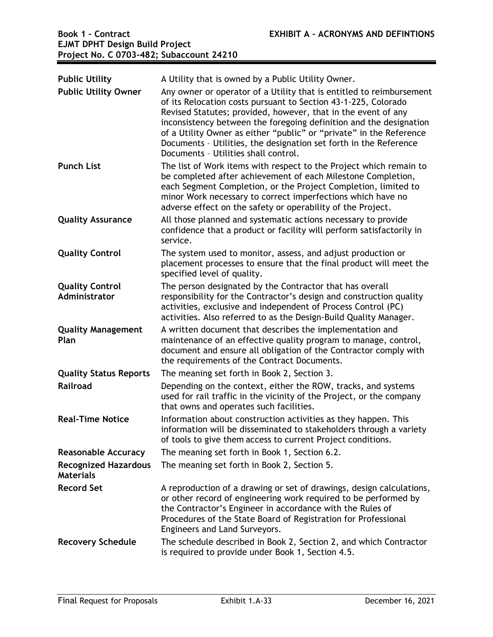| <b>Public Utility</b><br><b>Public Utility Owner</b> | A Utility that is owned by a Public Utility Owner.<br>Any owner or operator of a Utility that is entitled to reimbursement<br>of its Relocation costs pursuant to Section 43-1-225, Colorado<br>Revised Statutes; provided, however, that in the event of any<br>inconsistency between the foregoing definition and the designation<br>of a Utility Owner as either "public" or "private" in the Reference<br>Documents - Utilities, the designation set forth in the Reference<br>Documents - Utilities shall control. |
|------------------------------------------------------|-------------------------------------------------------------------------------------------------------------------------------------------------------------------------------------------------------------------------------------------------------------------------------------------------------------------------------------------------------------------------------------------------------------------------------------------------------------------------------------------------------------------------|
| <b>Punch List</b>                                    | The list of Work items with respect to the Project which remain to<br>be completed after achievement of each Milestone Completion,<br>each Segment Completion, or the Project Completion, limited to<br>minor Work necessary to correct imperfections which have no<br>adverse effect on the safety or operability of the Project.                                                                                                                                                                                      |
| <b>Quality Assurance</b>                             | All those planned and systematic actions necessary to provide<br>confidence that a product or facility will perform satisfactorily in<br>service.                                                                                                                                                                                                                                                                                                                                                                       |
| <b>Quality Control</b>                               | The system used to monitor, assess, and adjust production or<br>placement processes to ensure that the final product will meet the<br>specified level of quality.                                                                                                                                                                                                                                                                                                                                                       |
| <b>Quality Control</b><br>Administrator              | The person designated by the Contractor that has overall<br>responsibility for the Contractor's design and construction quality<br>activities, exclusive and independent of Process Control (PC)<br>activities. Also referred to as the Design-Build Quality Manager.                                                                                                                                                                                                                                                   |
| <b>Quality Management</b><br>Plan                    | A written document that describes the implementation and<br>maintenance of an effective quality program to manage, control,<br>document and ensure all obligation of the Contractor comply with<br>the requirements of the Contract Documents.                                                                                                                                                                                                                                                                          |
| <b>Quality Status Reports</b>                        | The meaning set forth in Book 2, Section 3.                                                                                                                                                                                                                                                                                                                                                                                                                                                                             |
| Railroad                                             | Depending on the context, either the ROW, tracks, and systems<br>used for rail traffic in the vicinity of the Project, or the company<br>that owns and operates such facilities.                                                                                                                                                                                                                                                                                                                                        |
| <b>Real-Time Notice</b>                              | Information about construction activities as they happen. This<br>information will be disseminated to stakeholders through a variety<br>of tools to give them access to current Project conditions.                                                                                                                                                                                                                                                                                                                     |
| <b>Reasonable Accuracy</b>                           | The meaning set forth in Book 1, Section 6.2.                                                                                                                                                                                                                                                                                                                                                                                                                                                                           |
| <b>Recognized Hazardous</b><br><b>Materials</b>      | The meaning set forth in Book 2, Section 5.                                                                                                                                                                                                                                                                                                                                                                                                                                                                             |
| <b>Record Set</b>                                    | A reproduction of a drawing or set of drawings, design calculations,<br>or other record of engineering work required to be performed by<br>the Contractor's Engineer in accordance with the Rules of<br>Procedures of the State Board of Registration for Professional<br>Engineers and Land Surveyors.                                                                                                                                                                                                                 |
| <b>Recovery Schedule</b>                             | The schedule described in Book 2, Section 2, and which Contractor<br>is required to provide under Book 1, Section 4.5.                                                                                                                                                                                                                                                                                                                                                                                                  |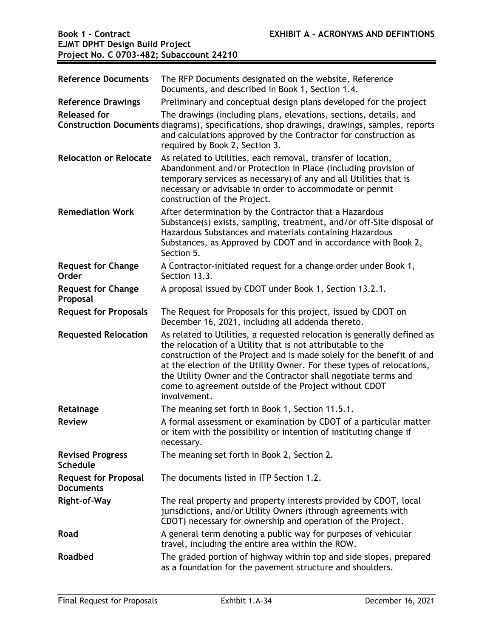| <b>Reference Documents</b>                      | The RFP Documents designated on the website, Reference<br>Documents, and described in Book 1, Section 1.4.                                                                                                                                                                                                                                                                                                                          |
|-------------------------------------------------|-------------------------------------------------------------------------------------------------------------------------------------------------------------------------------------------------------------------------------------------------------------------------------------------------------------------------------------------------------------------------------------------------------------------------------------|
| <b>Reference Drawings</b>                       | Preliminary and conceptual design plans developed for the project                                                                                                                                                                                                                                                                                                                                                                   |
| <b>Released for</b>                             | The drawings (including plans, elevations, sections, details, and<br>Construction Documents diagrams), specifications, shop drawings, drawings, samples, reports<br>and calculations approved by the Contractor for construction as<br>required by Book 2, Section 3.                                                                                                                                                               |
| <b>Relocation or Relocate</b>                   | As related to Utilities, each removal, transfer of location,<br>Abandonment and/or Protection in Place (including provision of<br>temporary services as necessary) of any and all Utilities that is<br>necessary or advisable in order to accommodate or permit<br>construction of the Project.                                                                                                                                     |
| <b>Remediation Work</b>                         | After determination by the Contractor that a Hazardous<br>Substance(s) exists, sampling, treatment, and/or off-Site disposal of<br>Hazardous Substances and materials containing Hazardous<br>Substances, as Approved by CDOT and in accordance with Book 2,<br>Section 5.                                                                                                                                                          |
| <b>Request for Change</b><br><b>Order</b>       | A Contractor-initiated request for a change order under Book 1,<br>Section 13.3.                                                                                                                                                                                                                                                                                                                                                    |
| <b>Request for Change</b><br>Proposal           | A proposal issued by CDOT under Book 1, Section 13.2.1.                                                                                                                                                                                                                                                                                                                                                                             |
| <b>Request for Proposals</b>                    | The Request for Proposals for this project, issued by CDOT on<br>December 16, 2021, including all addenda thereto.                                                                                                                                                                                                                                                                                                                  |
| <b>Requested Relocation</b>                     | As related to Utilities, a requested relocation is generally defined as<br>the relocation of a Utility that is not attributable to the<br>construction of the Project and is made solely for the benefit of and<br>at the election of the Utility Owner. For these types of relocations,<br>the Utility Owner and the Contractor shall negotiate terms and<br>come to agreement outside of the Project without CDOT<br>involvement. |
| Retainage                                       | The meaning set forth in Book 1, Section 11.5.1.                                                                                                                                                                                                                                                                                                                                                                                    |
| <b>Review</b>                                   | A formal assessment or examination by CDOT of a particular matter<br>or item with the possibility or intention of instituting change if<br>necessary.                                                                                                                                                                                                                                                                               |
| <b>Revised Progress</b><br><b>Schedule</b>      | The meaning set forth in Book 2, Section 2.                                                                                                                                                                                                                                                                                                                                                                                         |
| <b>Request for Proposal</b><br><b>Documents</b> | The documents listed in ITP Section 1.2.                                                                                                                                                                                                                                                                                                                                                                                            |
| <b>Right-of-Way</b>                             | The real property and property interests provided by CDOT, local<br>jurisdictions, and/or Utility Owners (through agreements with<br>CDOT) necessary for ownership and operation of the Project.                                                                                                                                                                                                                                    |
| Road                                            | A general term denoting a public way for purposes of vehicular<br>travel, including the entire area within the ROW.                                                                                                                                                                                                                                                                                                                 |
| <b>Roadbed</b>                                  | The graded portion of highway within top and side slopes, prepared<br>as a foundation for the pavement structure and shoulders.                                                                                                                                                                                                                                                                                                     |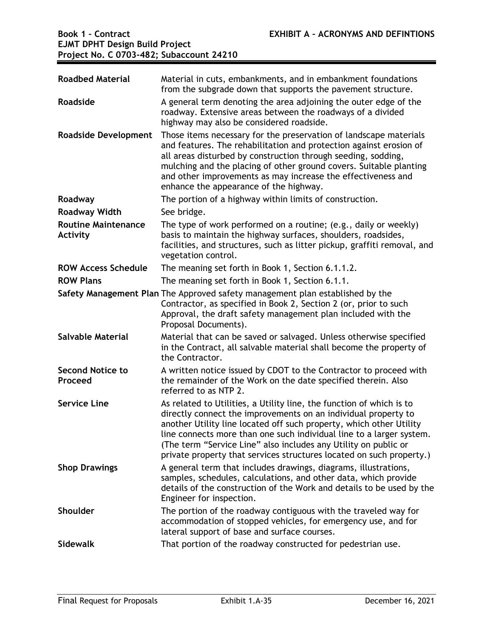| <b>Roadbed Material</b>                       | Material in cuts, embankments, and in embankment foundations<br>from the subgrade down that supports the pavement structure.                                                                                                                                                                                                                                                                                                     |
|-----------------------------------------------|----------------------------------------------------------------------------------------------------------------------------------------------------------------------------------------------------------------------------------------------------------------------------------------------------------------------------------------------------------------------------------------------------------------------------------|
| Roadside                                      | A general term denoting the area adjoining the outer edge of the<br>roadway. Extensive areas between the roadways of a divided<br>highway may also be considered roadside.                                                                                                                                                                                                                                                       |
| <b>Roadside Development</b>                   | Those items necessary for the preservation of landscape materials<br>and features. The rehabilitation and protection against erosion of<br>all areas disturbed by construction through seeding, sodding,<br>mulching and the placing of other ground covers. Suitable planting<br>and other improvements as may increase the effectiveness and<br>enhance the appearance of the highway.                                         |
| Roadway                                       | The portion of a highway within limits of construction.                                                                                                                                                                                                                                                                                                                                                                          |
| <b>Roadway Width</b>                          | See bridge.                                                                                                                                                                                                                                                                                                                                                                                                                      |
| <b>Routine Maintenance</b><br><b>Activity</b> | The type of work performed on a routine; (e.g., daily or weekly)<br>basis to maintain the highway surfaces, shoulders, roadsides,<br>facilities, and structures, such as litter pickup, graffiti removal, and<br>vegetation control.                                                                                                                                                                                             |
| <b>ROW Access Schedule</b>                    | The meaning set forth in Book 1, Section 6.1.1.2.                                                                                                                                                                                                                                                                                                                                                                                |
| <b>ROW Plans</b>                              | The meaning set forth in Book 1, Section 6.1.1.                                                                                                                                                                                                                                                                                                                                                                                  |
|                                               | Safety Management Plan The Approved safety management plan established by the<br>Contractor, as specified in Book 2, Section 2 (or, prior to such<br>Approval, the draft safety management plan included with the<br>Proposal Documents).                                                                                                                                                                                        |
| <b>Salvable Material</b>                      | Material that can be saved or salvaged. Unless otherwise specified<br>in the Contract, all salvable material shall become the property of<br>the Contractor.                                                                                                                                                                                                                                                                     |
| <b>Second Notice to</b><br>Proceed            | A written notice issued by CDOT to the Contractor to proceed with<br>the remainder of the Work on the date specified therein. Also<br>referred to as NTP 2.                                                                                                                                                                                                                                                                      |
| <b>Service Line</b>                           | As related to Utilities, a Utility line, the function of which is to<br>directly connect the improvements on an individual property to<br>another Utility line located off such property, which other Utility<br>line connects more than one such individual line to a larger system.<br>(The term "Service Line" also includes any Utility on public or<br>private property that services structures located on such property.) |
| <b>Shop Drawings</b>                          | A general term that includes drawings, diagrams, illustrations,<br>samples, schedules, calculations, and other data, which provide<br>details of the construction of the Work and details to be used by the<br>Engineer for inspection.                                                                                                                                                                                          |
| Shoulder                                      | The portion of the roadway contiguous with the traveled way for<br>accommodation of stopped vehicles, for emergency use, and for<br>lateral support of base and surface courses.                                                                                                                                                                                                                                                 |
| <b>Sidewalk</b>                               | That portion of the roadway constructed for pedestrian use.                                                                                                                                                                                                                                                                                                                                                                      |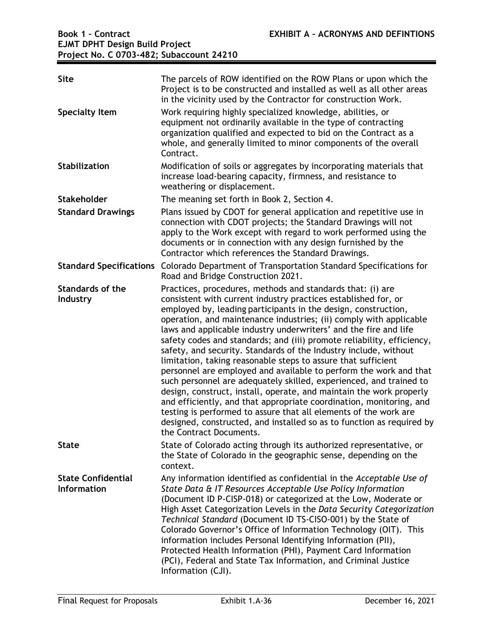| <b>Site</b>                                     | The parcels of ROW identified on the ROW Plans or upon which the<br>Project is to be constructed and installed as well as all other areas<br>in the vicinity used by the Contractor for construction Work.                                                                                                                                                                                                                                                                                                                                                                                                                                                                                                                                                                                                                                                                                                                                                                                                               |
|-------------------------------------------------|--------------------------------------------------------------------------------------------------------------------------------------------------------------------------------------------------------------------------------------------------------------------------------------------------------------------------------------------------------------------------------------------------------------------------------------------------------------------------------------------------------------------------------------------------------------------------------------------------------------------------------------------------------------------------------------------------------------------------------------------------------------------------------------------------------------------------------------------------------------------------------------------------------------------------------------------------------------------------------------------------------------------------|
| <b>Specialty Item</b>                           | Work requiring highly specialized knowledge, abilities, or<br>equipment not ordinarily available in the type of contracting<br>organization qualified and expected to bid on the Contract as a<br>whole, and generally limited to minor components of the overall<br>Contract.                                                                                                                                                                                                                                                                                                                                                                                                                                                                                                                                                                                                                                                                                                                                           |
| <b>Stabilization</b>                            | Modification of soils or aggregates by incorporating materials that<br>increase load-bearing capacity, firmness, and resistance to<br>weathering or displacement.                                                                                                                                                                                                                                                                                                                                                                                                                                                                                                                                                                                                                                                                                                                                                                                                                                                        |
| <b>Stakeholder</b>                              | The meaning set forth in Book 2, Section 4.                                                                                                                                                                                                                                                                                                                                                                                                                                                                                                                                                                                                                                                                                                                                                                                                                                                                                                                                                                              |
| <b>Standard Drawings</b>                        | Plans issued by CDOT for general application and repetitive use in<br>connection with CDOT projects; the Standard Drawings will not<br>apply to the Work except with regard to work performed using the<br>documents or in connection with any design furnished by the<br>Contractor which references the Standard Drawings.                                                                                                                                                                                                                                                                                                                                                                                                                                                                                                                                                                                                                                                                                             |
| <b>Standard Specifications</b>                  | Colorado Department of Transportation Standard Specifications for<br>Road and Bridge Construction 2021.                                                                                                                                                                                                                                                                                                                                                                                                                                                                                                                                                                                                                                                                                                                                                                                                                                                                                                                  |
| <b>Standards of the</b><br>Industry             | Practices, procedures, methods and standards that: (i) are<br>consistent with current industry practices established for, or<br>employed by, leading participants in the design, construction,<br>operation, and maintenance industries; (ii) comply with applicable<br>laws and applicable industry underwriters' and the fire and life<br>safety codes and standards; and (iii) promote reliability, efficiency,<br>safety, and security. Standards of the Industry include, without<br>limitation, taking reasonable steps to assure that sufficient<br>personnel are employed and available to perform the work and that<br>such personnel are adequately skilled, experienced, and trained to<br>design, construct, install, operate, and maintain the work properly<br>and efficiently, and that appropriate coordination, monitoring, and<br>testing is performed to assure that all elements of the work are<br>designed, constructed, and installed so as to function as required by<br>the Contract Documents. |
| <b>State</b>                                    | State of Colorado acting through its authorized representative, or<br>the State of Colorado in the geographic sense, depending on the<br>context.                                                                                                                                                                                                                                                                                                                                                                                                                                                                                                                                                                                                                                                                                                                                                                                                                                                                        |
| <b>State Confidential</b><br><b>Information</b> | Any information identified as confidential in the Acceptable Use of<br>State Data & IT Resources Acceptable Use Policy Information<br>(Document ID P-CISP-018) or categorized at the Low, Moderate or<br>High Asset Categorization Levels in the Data Security Categorization<br>Technical Standard (Document ID TS-CISO-001) by the State of<br>Colorado Governor's Office of Information Technology (OIT). This<br>information includes Personal Identifying Information (PII),<br>Protected Health Information (PHI), Payment Card Information<br>(PCI), Federal and State Tax Information, and Criminal Justice<br>Information (CJI).                                                                                                                                                                                                                                                                                                                                                                                |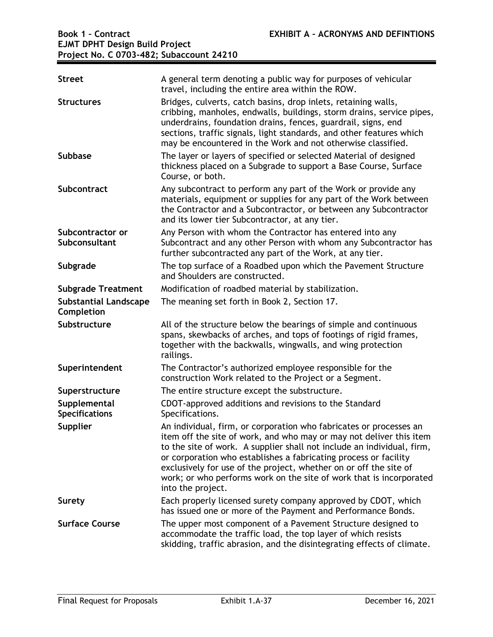| <b>Street</b>                              | A general term denoting a public way for purposes of vehicular<br>travel, including the entire area within the ROW.                                                                                                                                                                                                                                                                                                                                      |
|--------------------------------------------|----------------------------------------------------------------------------------------------------------------------------------------------------------------------------------------------------------------------------------------------------------------------------------------------------------------------------------------------------------------------------------------------------------------------------------------------------------|
| <b>Structures</b>                          | Bridges, culverts, catch basins, drop inlets, retaining walls,<br>cribbing, manholes, endwalls, buildings, storm drains, service pipes,<br>underdrains, foundation drains, fences, guardrail, signs, end<br>sections, traffic signals, light standards, and other features which<br>may be encountered in the Work and not otherwise classified.                                                                                                         |
| <b>Subbase</b>                             | The layer or layers of specified or selected Material of designed<br>thickness placed on a Subgrade to support a Base Course, Surface<br>Course, or both.                                                                                                                                                                                                                                                                                                |
| Subcontract                                | Any subcontract to perform any part of the Work or provide any<br>materials, equipment or supplies for any part of the Work between<br>the Contractor and a Subcontractor, or between any Subcontractor<br>and its lower tier Subcontractor, at any tier.                                                                                                                                                                                                |
| Subcontractor or<br>Subconsultant          | Any Person with whom the Contractor has entered into any<br>Subcontract and any other Person with whom any Subcontractor has<br>further subcontracted any part of the Work, at any tier.                                                                                                                                                                                                                                                                 |
| Subgrade                                   | The top surface of a Roadbed upon which the Pavement Structure<br>and Shoulders are constructed.                                                                                                                                                                                                                                                                                                                                                         |
| <b>Subgrade Treatment</b>                  | Modification of roadbed material by stabilization.                                                                                                                                                                                                                                                                                                                                                                                                       |
| <b>Substantial Landscape</b><br>Completion | The meaning set forth in Book 2, Section 17.                                                                                                                                                                                                                                                                                                                                                                                                             |
| Substructure                               | All of the structure below the bearings of simple and continuous<br>spans, skewbacks of arches, and tops of footings of rigid frames,<br>together with the backwalls, wingwalls, and wing protection<br>railings.                                                                                                                                                                                                                                        |
| Superintendent                             | The Contractor's authorized employee responsible for the<br>construction Work related to the Project or a Segment.                                                                                                                                                                                                                                                                                                                                       |
| Superstructure                             | The entire structure except the substructure.                                                                                                                                                                                                                                                                                                                                                                                                            |
| Supplemental<br><b>Specifications</b>      | CDOT-approved additions and revisions to the Standard<br>Specifications.                                                                                                                                                                                                                                                                                                                                                                                 |
| Supplier                                   | An individual, firm, or corporation who fabricates or processes an<br>item off the site of work, and who may or may not deliver this item<br>to the site of work. A supplier shall not include an individual, firm,<br>or corporation who establishes a fabricating process or facility<br>exclusively for use of the project, whether on or off the site of<br>work; or who performs work on the site of work that is incorporated<br>into the project. |
| Surety                                     | Each properly licensed surety company approved by CDOT, which<br>has issued one or more of the Payment and Performance Bonds.                                                                                                                                                                                                                                                                                                                            |
| <b>Surface Course</b>                      | The upper most component of a Pavement Structure designed to<br>accommodate the traffic load, the top layer of which resists<br>skidding, traffic abrasion, and the disintegrating effects of climate.                                                                                                                                                                                                                                                   |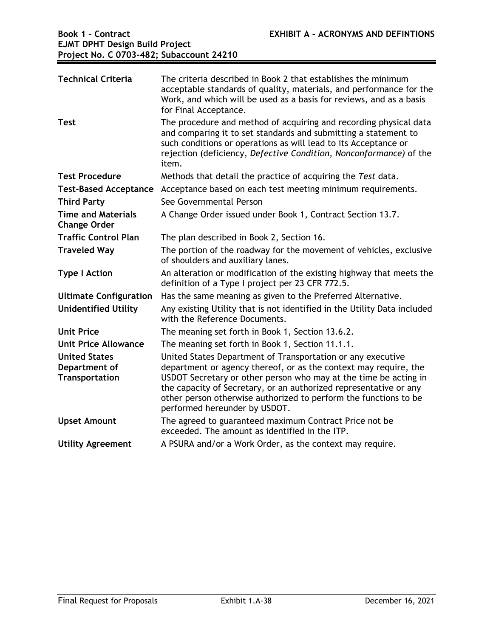| <b>Technical Criteria</b><br><b>Test</b>                | The criteria described in Book 2 that establishes the minimum<br>acceptable standards of quality, materials, and performance for the<br>Work, and which will be used as a basis for reviews, and as a basis<br>for Final Acceptance.<br>The procedure and method of acquiring and recording physical data                                                                     |
|---------------------------------------------------------|-------------------------------------------------------------------------------------------------------------------------------------------------------------------------------------------------------------------------------------------------------------------------------------------------------------------------------------------------------------------------------|
|                                                         | and comparing it to set standards and submitting a statement to<br>such conditions or operations as will lead to its Acceptance or<br>rejection (deficiency, Defective Condition, Nonconformance) of the<br>item.                                                                                                                                                             |
| <b>Test Procedure</b>                                   | Methods that detail the practice of acquiring the Test data.                                                                                                                                                                                                                                                                                                                  |
| <b>Test-Based Acceptance</b>                            | Acceptance based on each test meeting minimum requirements.                                                                                                                                                                                                                                                                                                                   |
| <b>Third Party</b>                                      | See Governmental Person                                                                                                                                                                                                                                                                                                                                                       |
| <b>Time and Materials</b><br><b>Change Order</b>        | A Change Order issued under Book 1, Contract Section 13.7.                                                                                                                                                                                                                                                                                                                    |
| <b>Traffic Control Plan</b>                             | The plan described in Book 2, Section 16.                                                                                                                                                                                                                                                                                                                                     |
| <b>Traveled Way</b>                                     | The portion of the roadway for the movement of vehicles, exclusive<br>of shoulders and auxiliary lanes.                                                                                                                                                                                                                                                                       |
| <b>Type I Action</b>                                    | An alteration or modification of the existing highway that meets the<br>definition of a Type I project per 23 CFR 772.5.                                                                                                                                                                                                                                                      |
| <b>Ultimate Configuration</b>                           | Has the same meaning as given to the Preferred Alternative.                                                                                                                                                                                                                                                                                                                   |
| <b>Unidentified Utility</b>                             | Any existing Utility that is not identified in the Utility Data included<br>with the Reference Documents.                                                                                                                                                                                                                                                                     |
| <b>Unit Price</b>                                       | The meaning set forth in Book 1, Section 13.6.2.                                                                                                                                                                                                                                                                                                                              |
| Unit Price Allowance                                    | The meaning set forth in Book 1, Section 11.1.1.                                                                                                                                                                                                                                                                                                                              |
| <b>United States</b><br>Department of<br>Transportation | United States Department of Transportation or any executive<br>department or agency thereof, or as the context may require, the<br>USDOT Secretary or other person who may at the time be acting in<br>the capacity of Secretary, or an authorized representative or any<br>other person otherwise authorized to perform the functions to be<br>performed hereunder by USDOT. |
| <b>Upset Amount</b>                                     | The agreed to guaranteed maximum Contract Price not be<br>exceeded. The amount as identified in the ITP.                                                                                                                                                                                                                                                                      |
| <b>Utility Agreement</b>                                | A PSURA and/or a Work Order, as the context may require.                                                                                                                                                                                                                                                                                                                      |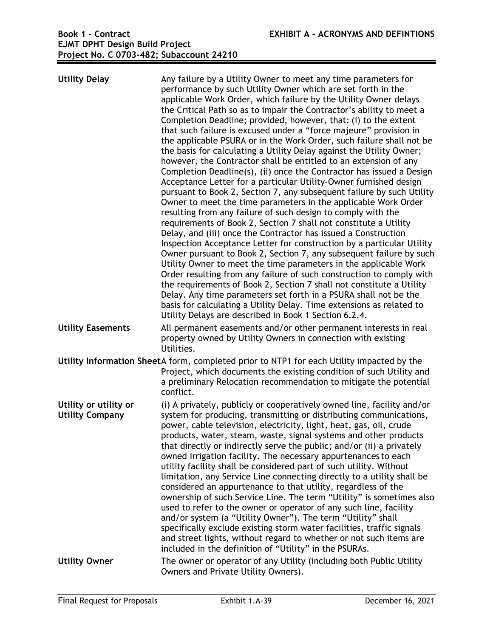| <b>Utility Delay</b>                            | Any failure by a Utility Owner to meet any time parameters for<br>performance by such Utility Owner which are set forth in the<br>applicable Work Order, which failure by the Utility Owner delays<br>the Critical Path so as to impair the Contractor's ability to meet a<br>Completion Deadline; provided, however, that: (i) to the extent<br>that such failure is excused under a "force majeure" provision in<br>the applicable PSURA or in the Work Order, such failure shall not be<br>the basis for calculating a Utility Delay against the Utility Owner;<br>however, the Contractor shall be entitled to an extension of any<br>Completion Deadline(s), (ii) once the Contractor has issued a Design<br>Acceptance Letter for a particular Utility-Owner furnished design<br>pursuant to Book 2, Section 7, any subsequent failure by such Utility<br>Owner to meet the time parameters in the applicable Work Order<br>resulting from any failure of such design to comply with the<br>requirements of Book 2, Section 7 shall not constitute a Utility<br>Delay, and (iii) once the Contractor has issued a Construction<br>Inspection Acceptance Letter for construction by a particular Utility<br>Owner pursuant to Book 2, Section 7, any subsequent failure by such<br>Utility Owner to meet the time parameters in the applicable Work<br>Order resulting from any failure of such construction to comply with<br>the requirements of Book 2, Section 7 shall not constitute a Utility<br>Delay. Any time parameters set forth in a PSURA shall not be the<br>basis for calculating a Utility Delay. Time extensions as related to<br>Utility Delays are described in Book 1 Section 6.2.4. |
|-------------------------------------------------|---------------------------------------------------------------------------------------------------------------------------------------------------------------------------------------------------------------------------------------------------------------------------------------------------------------------------------------------------------------------------------------------------------------------------------------------------------------------------------------------------------------------------------------------------------------------------------------------------------------------------------------------------------------------------------------------------------------------------------------------------------------------------------------------------------------------------------------------------------------------------------------------------------------------------------------------------------------------------------------------------------------------------------------------------------------------------------------------------------------------------------------------------------------------------------------------------------------------------------------------------------------------------------------------------------------------------------------------------------------------------------------------------------------------------------------------------------------------------------------------------------------------------------------------------------------------------------------------------------------------------------------------------------------------------------------------------------------|
| <b>Utility Easements</b>                        | All permanent easements and/or other permanent interests in real<br>property owned by Utility Owners in connection with existing<br>Utilities.                                                                                                                                                                                                                                                                                                                                                                                                                                                                                                                                                                                                                                                                                                                                                                                                                                                                                                                                                                                                                                                                                                                                                                                                                                                                                                                                                                                                                                                                                                                                                                |
|                                                 | Utility Information SheetA form, completed prior to NTP1 for each Utility impacted by the<br>Project, which documents the existing condition of such Utility and<br>a preliminary Relocation recommendation to mitigate the potential<br>conflict.                                                                                                                                                                                                                                                                                                                                                                                                                                                                                                                                                                                                                                                                                                                                                                                                                                                                                                                                                                                                                                                                                                                                                                                                                                                                                                                                                                                                                                                            |
| Utility or utility or<br><b>Utility Company</b> | (i) A privately, publicly or cooperatively owned line, facility and/or<br>system for producing, transmitting or distributing communications,<br>power, cable television, electricity, light, heat, gas, oil, crude<br>products, water, steam, waste, signal systems and other products<br>that directly or indirectly serve the public; and/or (ii) a privately<br>owned irrigation facility. The necessary appurtenances to each<br>utility facility shall be considered part of such utility. Without<br>limitation, any Service Line connecting directly to a utility shall be<br>considered an appurtenance to that utility, regardless of the<br>ownership of such Service Line. The term "Utility" is sometimes also<br>used to refer to the owner or operator of any such line, facility<br>and/or system (a "Utility Owner"). The term "Utility" shall<br>specifically exclude existing storm water facilities, traffic signals<br>and street lights, without regard to whether or not such items are<br>included in the definition of "Utility" in the PSURAs.                                                                                                                                                                                                                                                                                                                                                                                                                                                                                                                                                                                                                                       |
| <b>Utility Owner</b>                            | The owner or operator of any Utility (including both Public Utility<br>Owners and Private Utility Owners).                                                                                                                                                                                                                                                                                                                                                                                                                                                                                                                                                                                                                                                                                                                                                                                                                                                                                                                                                                                                                                                                                                                                                                                                                                                                                                                                                                                                                                                                                                                                                                                                    |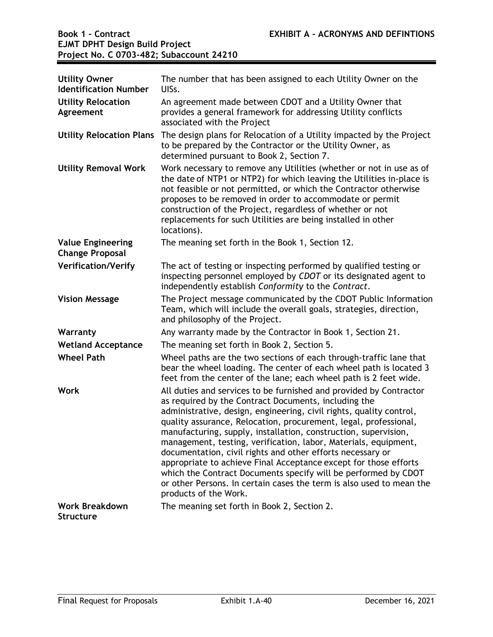| <b>Utility Owner</b><br><b>Identification Number</b> | The number that has been assigned to each Utility Owner on the<br>UISs.                                                                                                                                                                                                                                                                                                                                                                                                                                                                                                                                                                                                                                          |
|------------------------------------------------------|------------------------------------------------------------------------------------------------------------------------------------------------------------------------------------------------------------------------------------------------------------------------------------------------------------------------------------------------------------------------------------------------------------------------------------------------------------------------------------------------------------------------------------------------------------------------------------------------------------------------------------------------------------------------------------------------------------------|
| <b>Utility Relocation</b><br>Agreement               | An agreement made between CDOT and a Utility Owner that<br>provides a general framework for addressing Utility conflicts<br>associated with the Project                                                                                                                                                                                                                                                                                                                                                                                                                                                                                                                                                          |
| <b>Utility Relocation Plans</b>                      | The design plans for Relocation of a Utility impacted by the Project<br>to be prepared by the Contractor or the Utility Owner, as<br>determined pursuant to Book 2, Section 7.                                                                                                                                                                                                                                                                                                                                                                                                                                                                                                                                   |
| <b>Utility Removal Work</b>                          | Work necessary to remove any Utilities (whether or not in use as of<br>the date of NTP1 or NTP2) for which leaving the Utilities in-place is<br>not feasible or not permitted, or which the Contractor otherwise<br>proposes to be removed in order to accommodate or permit<br>construction of the Project, regardless of whether or not<br>replacements for such Utilities are being installed in other<br>locations).                                                                                                                                                                                                                                                                                         |
| <b>Value Engineering</b><br><b>Change Proposal</b>   | The meaning set forth in the Book 1, Section 12.                                                                                                                                                                                                                                                                                                                                                                                                                                                                                                                                                                                                                                                                 |
| <b>Verification/Verify</b>                           | The act of testing or inspecting performed by qualified testing or<br>inspecting personnel employed by CDOT or its designated agent to<br>independently establish Conformity to the Contract.                                                                                                                                                                                                                                                                                                                                                                                                                                                                                                                    |
| <b>Vision Message</b>                                | The Project message communicated by the CDOT Public Information<br>Team, which will include the overall goals, strategies, direction,<br>and philosophy of the Project.                                                                                                                                                                                                                                                                                                                                                                                                                                                                                                                                          |
| Warranty                                             | Any warranty made by the Contractor in Book 1, Section 21.                                                                                                                                                                                                                                                                                                                                                                                                                                                                                                                                                                                                                                                       |
| <b>Wetland Acceptance</b>                            | The meaning set forth in Book 2, Section 5.                                                                                                                                                                                                                                                                                                                                                                                                                                                                                                                                                                                                                                                                      |
| <b>Wheel Path</b>                                    | Wheel paths are the two sections of each through-traffic lane that<br>bear the wheel loading. The center of each wheel path is located 3<br>feet from the center of the lane; each wheel path is 2 feet wide.                                                                                                                                                                                                                                                                                                                                                                                                                                                                                                    |
| <b>Work</b>                                          | All duties and services to be furnished and provided by Contractor<br>as required by the Contract Documents, including the<br>administrative, design, engineering, civil rights, quality control,<br>quality assurance, Relocation, procurement, legal, professional,<br>manufacturing, supply, installation, construction, supervision,<br>management, testing, verification, labor, Materials, equipment,<br>documentation, civil rights and other efforts necessary or<br>appropriate to achieve Final Acceptance except for those efforts<br>which the Contract Documents specify will be performed by CDOT<br>or other Persons. In certain cases the term is also used to mean the<br>products of the Work. |
| <b>Work Breakdown</b><br><b>Structure</b>            | The meaning set forth in Book 2, Section 2.                                                                                                                                                                                                                                                                                                                                                                                                                                                                                                                                                                                                                                                                      |